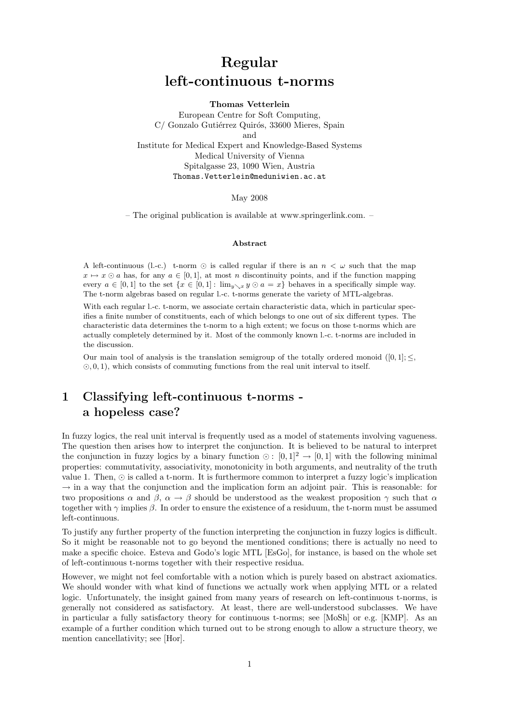# Regular

## left-continuous t-norms

#### Thomas Vetterlein

European Centre for Soft Computing, C/ Gonzalo Gutiérrez Quirós, 33600 Mieres, Spain and Institute for Medical Expert and Knowledge-Based Systems Medical University of Vienna Spitalgasse 23, 1090 Wien, Austria Thomas.Vetterlein@meduniwien.ac.at

#### May 2008

– The original publication is available at www.springerlink.com. –

#### Abstract

A left-continuous (1.-c.) t-norm  $\odot$  is called regular if there is an  $n < \omega$  such that the map  $x \mapsto x \odot a$  has, for any  $a \in [0, 1]$ , at most n discontinuity points, and if the function mapping every  $a \in [0,1]$  to the set  $\{x \in [0,1]: \lim_{y\setminus x} y \odot a = x\}$  behaves in a specifically simple way. The t-norm algebras based on regular l.-c. t-norms generate the variety of MTL-algebras.

With each regular l.-c. t-norm, we associate certain characteristic data, which in particular specifies a finite number of constituents, each of which belongs to one out of six different types. The characteristic data determines the t-norm to a high extent; we focus on those t-norms which are actually completely determined by it. Most of the commonly known l.-c. t-norms are included in the discussion.

Our main tool of analysis is the translation semigroup of the totally ordered monoid  $([0, 1]; <, \cdot)$  $(0, 0, 1)$ , which consists of commuting functions from the real unit interval to itself.

# 1 Classifying left-continuous t-norms a hopeless case?

In fuzzy logics, the real unit interval is frequently used as a model of statements involving vagueness. The question then arises how to interpret the conjunction. It is believed to be natural to interpret the conjunction in fuzzy logics by a binary function  $\odot$ :  $[0,1]^2 \rightarrow [0,1]$  with the following minimal properties: commutativity, associativity, monotonicity in both arguments, and neutrality of the truth value 1. Then,  $\odot$  is called a t-norm. It is furthermore common to interpret a fuzzy logic's implication  $\rightarrow$  in a way that the conjunction and the implication form an adjoint pair. This is reasonable: for two propositions  $\alpha$  and  $\beta$ ,  $\alpha \rightarrow \beta$  should be understood as the weakest proposition  $\gamma$  such that  $\alpha$ together with  $\gamma$  implies  $\beta$ . In order to ensure the existence of a residuum, the t-norm must be assumed left-continuous.

To justify any further property of the function interpreting the conjunction in fuzzy logics is difficult. So it might be reasonable not to go beyond the mentioned conditions; there is actually no need to make a specific choice. Esteva and Godo's logic MTL [EsGo], for instance, is based on the whole set of left-continuous t-norms together with their respective residua.

However, we might not feel comfortable with a notion which is purely based on abstract axiomatics. We should wonder with what kind of functions we actually work when applying MTL or a related logic. Unfortunately, the insight gained from many years of research on left-continuous t-norms, is generally not considered as satisfactory. At least, there are well-understood subclasses. We have in particular a fully satisfactory theory for continuous t-norms; see [MoSh] or e.g. [KMP]. As an example of a further condition which turned out to be strong enough to allow a structure theory, we mention cancellativity; see [Hor].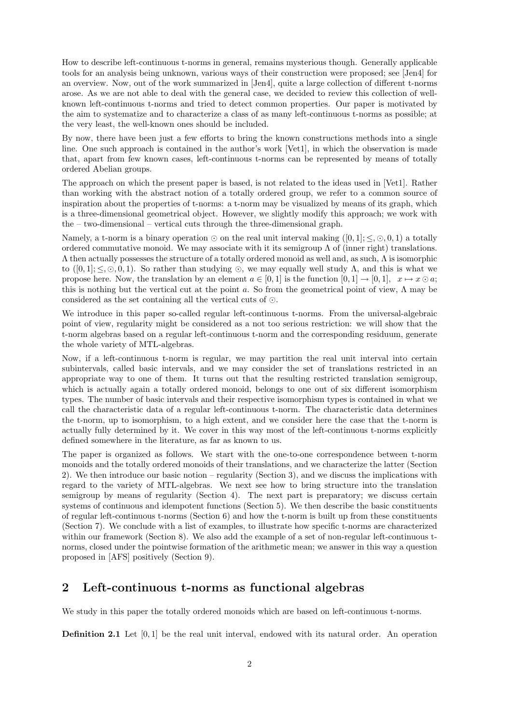How to describe left-continuous t-norms in general, remains mysterious though. Generally applicable tools for an analysis being unknown, various ways of their construction were proposed; see [Jen4] for an overview. Now, out of the work summarized in [Jen4], quite a large collection of different t-norms arose. As we are not able to deal with the general case, we decided to review this collection of wellknown left-continuous t-norms and tried to detect common properties. Our paper is motivated by the aim to systematize and to characterize a class of as many left-continuous t-norms as possible; at the very least, the well-known ones should be included.

By now, there have been just a few efforts to bring the known constructions methods into a single line. One such approach is contained in the author's work [Vet1], in which the observation is made that, apart from few known cases, left-continuous t-norms can be represented by means of totally ordered Abelian groups.

The approach on which the present paper is based, is not related to the ideas used in [Vet1]. Rather than working with the abstract notion of a totally ordered group, we refer to a common source of inspiration about the properties of t-norms: a t-norm may be visualized by means of its graph, which is a three-dimensional geometrical object. However, we slightly modify this approach; we work with the – two-dimensional – vertical cuts through the three-dimensional graph.

Namely, a t-norm is a binary operation  $\odot$  on the real unit interval making  $([0,1]; \leq, \odot, 0, 1)$  a totally ordered commutative monoid. We may associate with it its semigroup  $\Lambda$  of (inner right) translations.  $\Lambda$  then actually possesses the structure of a totally ordered monoid as well and, as such,  $\Lambda$  is isomorphic to  $([0,1]; \leq, \odot, 0, 1)$ . So rather than studying  $\odot$ , we may equally well study  $\Lambda$ , and this is what we propose here. Now, the translation by an element  $a \in [0, 1]$  is the function  $[0, 1] \rightarrow [0, 1]$ ,  $x \mapsto x \odot a$ ; this is nothing but the vertical cut at the point a. So from the geometrical point of view,  $\Lambda$  may be considered as the set containing all the vertical cuts of  $\odot$ .

We introduce in this paper so-called regular left-continuous t-norms. From the universal-algebraic point of view, regularity might be considered as a not too serious restriction: we will show that the t-norm algebras based on a regular left-continuous t-norm and the corresponding residuum, generate the whole variety of MTL-algebras.

Now, if a left-continuous t-norm is regular, we may partition the real unit interval into certain subintervals, called basic intervals, and we may consider the set of translations restricted in an appropriate way to one of them. It turns out that the resulting restricted translation semigroup, which is actually again a totally ordered monoid, belongs to one out of six different isomorphism types. The number of basic intervals and their respective isomorphism types is contained in what we call the characteristic data of a regular left-continuous t-norm. The characteristic data determines the t-norm, up to isomorphism, to a high extent, and we consider here the case that the t-norm is actually fully determined by it. We cover in this way most of the left-continuous t-norms explicitly defined somewhere in the literature, as far as known to us.

The paper is organized as follows. We start with the one-to-one correspondence between t-norm monoids and the totally ordered monoids of their translations, and we characterize the latter (Section 2). We then introduce our basic notion – regularity (Section 3), and we discuss the implications with regard to the variety of MTL-algebras. We next see how to bring structure into the translation semigroup by means of regularity (Section 4). The next part is preparatory; we discuss certain systems of continuous and idempotent functions (Section 5). We then describe the basic constituents of regular left-continuous t-norms (Section 6) and how the t-norm is built up from these constituents (Section 7). We conclude with a list of examples, to illustrate how specific t-norms are characterized within our framework (Section 8). We also add the example of a set of non-regular left-continuous tnorms, closed under the pointwise formation of the arithmetic mean; we answer in this way a question proposed in [AFS] positively (Section 9).

## 2 Left-continuous t-norms as functional algebras

We study in this paper the totally ordered monoids which are based on left-continuous t-norms.

**Definition 2.1** Let  $[0,1]$  be the real unit interval, endowed with its natural order. An operation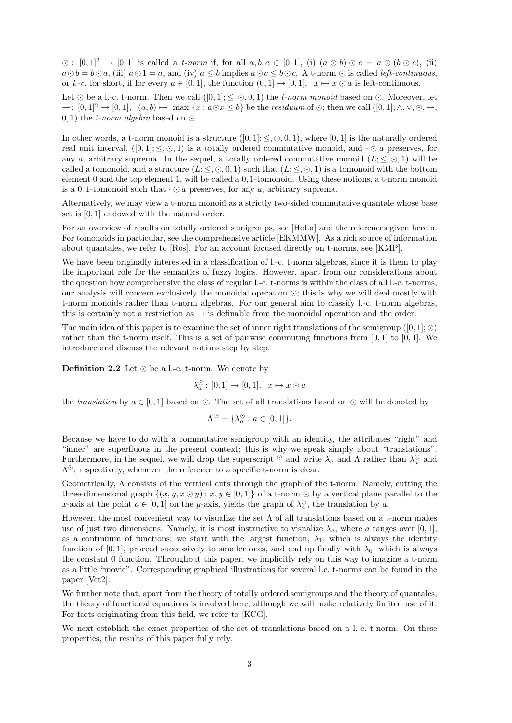$\odot: [0,1]^2 \rightarrow [0,1]$  is called a *t-norm* if, for all  $a,b,c \in [0,1]$ , (i)  $(a \odot b) \odot c = a \odot (b \odot c)$ , (ii)  $a \odot b = b \odot a$ , (iii)  $a \odot 1 = a$ , and (iv)  $a \leq b$  implies  $a \odot c \leq b \odot c$ . A t-norm  $\odot$  is called *left-continuous*, or *l.-c.* for short, if for every  $a \in [0,1]$ , the function  $(0,1] \rightarrow [0,1]$ ,  $x \mapsto x \odot a$  is left-continuous.

Let  $\odot$  be a l.-c. t-norm. Then we call  $([0,1]; \leq, \odot, 0, 1)$  the t-norm monoid based on  $\odot$ . Moreover, let  $\rightarrow$ :  $[0,1]^2 \rightarrow [0,1], (a,b) \mapsto \max \{x : a \odot x \leq b\}$  be the residuum of  $\odot$ ; then we call  $([0,1]; \wedge, \vee, \odot, \rightarrow, \vee)$  $(0, 1)$  the *t-norm algebra* based on  $\odot$ .

In other words, a t-norm monoid is a structure  $([0, 1]; \leq, 0, 0, 1)$ , where  $[0, 1]$  is the naturally ordered real unit interval,  $([0, 1]; \leq, \odot, 1)$  is a totally ordered commutative monoid, and  $\cdot \odot a$  preserves, for any a, arbitrary suprema. In the sequel, a totally ordered commutative monoid  $(L,<, \odot, 1)$  will be called a tomonoid, and a structure  $(L, \leq, \circ, 0, 1)$  such that  $(L, \leq, \circ, 1)$  is a tomonoid with the bottom element 0 and the top element 1, will be called a 0, 1-tomonoid. Using these notions, a t-norm monoid is a 0, 1-tomonoid such that  $\cdot \odot a$  preserves, for any a, arbitrary suprema.

Alternatively, we may view a t-norm monoid as a strictly two-sided commutative quantale whose base set is [0, 1] endowed with the natural order.

For an overview of results on totally ordered semigroups, see [HoLa] and the references given herein. For tomonoids in particular, see the comprehensive article [EKMMW]. As a rich source of information about quantales, we refer to [Ros]. For an account focused directly on t-norms, see [KMP].

We have been originally interested in a classification of l.-c. t-norm algebras, since it is them to play the important role for the semantics of fuzzy logics. However, apart from our considerations about the question how comprehensive the class of regular l.-c. t-norms is within the class of all l.-c. t-norms, our analysis will concern exclusively the monoidal operation  $\odot$ ; this is why we will deal mostly with t-norm monoids rather than t-norm algebras. For our general aim to classify l.-c. t-norm algebras, this is certainly not a restriction as  $\rightarrow$  is definable from the monoidal operation and the order.

The main idea of this paper is to examine the set of inner right translations of the semigroup  $([0, 1]; \odot)$ rather than the t-norm itself. This is a set of pairwise commuting functions from  $[0, 1]$  to  $[0, 1]$ . We introduce and discuss the relevant notions step by step.

**Definition 2.2** Let  $\odot$  be a l.-c. t-norm. We denote by

$$
\lambda_a^\odot\colon\thinspace[0,1]\to[0,1],\ \ x\mapsto x\odot a
$$

the translation by  $a \in [0,1]$  based on  $\odot$ . The set of all translations based on  $\odot$  will be denoted by

$$
\Lambda^{\odot}=\{\lambda^{\odot}_a\colon\thinspace a\in[0,1]\}.
$$

Because we have to do with a commutative semigroup with an identity, the attributes "right" and "inner" are superfluous in the present context; this is why we speak simply about "translations". Furthermore, in the sequel, we will drop the superscript  $\circ$  and write  $\lambda_a$  and  $\Lambda$  rather than  $\lambda_a^{\odot}$  and  $\Lambda^{\odot}$ , respectively, whenever the reference to a specific t-norm is clear.

Geometrically, Λ consists of the vertical cuts through the graph of the t-norm. Namely, cutting the three-dimensional graph  $\{(x, y, x \odot y): x, y \in [0,1]\}$  of a t-norm  $\odot$  by a vertical plane parallel to the x-axis at the point  $a \in [0,1]$  on the y-axis, yields the graph of  $\lambda_a^{\odot}$ , the translation by a.

However, the most convenient way to visualize the set  $\Lambda$  of all translations based on a t-norm makes use of just two dimensions. Namely, it is most instructive to visualize  $\lambda_a$ , where a ranges over [0, 1], as a continuum of functions; we start with the largest function,  $\lambda_1$ , which is always the identity function of [0, 1], proceed successively to smaller ones, and end up finally with  $\lambda_0$ , which is always the constant 0 function. Throughout this paper, we implicitly rely on this way to imagine a t-norm as a little "movie". Corresponding graphical illustrations for several l.c. t-norms can be found in the paper [Vet2].

We further note that, apart from the theory of totally ordered semigroups and the theory of quantales, the theory of functional equations is involved here, although we will make relatively limited use of it. For facts originating from this field, we refer to [KCG].

We next establish the exact properties of the set of translations based on a l.-c. t-norm. On these properties, the results of this paper fully rely.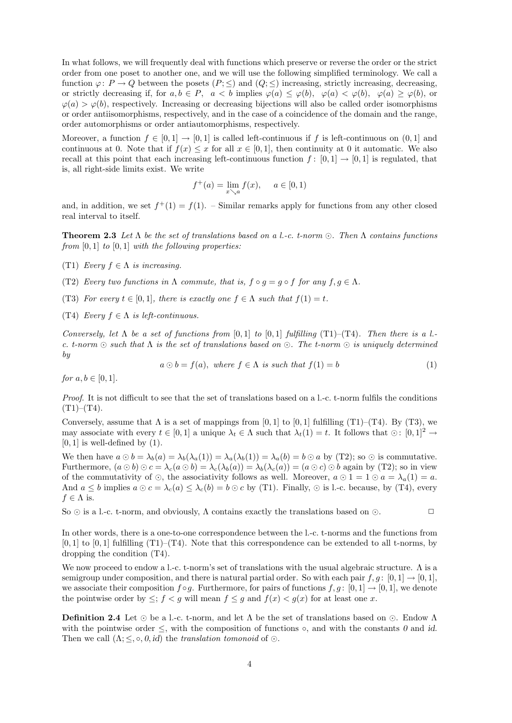In what follows, we will frequently deal with functions which preserve or reverse the order or the strict order from one poset to another one, and we will use the following simplified terminology. We call a function  $\varphi: P \to Q$  between the posets  $(P; \leq)$  and  $(Q; \leq)$  increasing, strictly increasing, decreasing, or strictly decreasing if, for  $a, b \in P$ ,  $a < b$  implies  $\varphi(a) \leq \varphi(b)$ ,  $\varphi(a) < \varphi(b)$ ,  $\varphi(a) \geq \varphi(b)$ , or  $\varphi(a) > \varphi(b)$ , respectively. Increasing or decreasing bijections will also be called order isomorphisms or order antiisomorphisms, respectively, and in the case of a coincidence of the domain and the range, order automorphisms or order antiautomorphisms, respectively.

Moreover, a function  $f \in [0, 1] \rightarrow [0, 1]$  is called left-continuous if f is left-continuous on  $(0, 1]$  and continuous at 0. Note that if  $f(x) \leq x$  for all  $x \in [0,1]$ , then continuity at 0 it automatic. We also recall at this point that each increasing left-continuous function  $f : [0,1] \rightarrow [0,1]$  is regulated, that is, all right-side limits exist. We write

$$
f^+(a) = \lim_{x \searrow a} f(x), \quad a \in [0, 1)
$$

and, in addition, we set  $f^+(1) = f(1)$ . – Similar remarks apply for functions from any other closed real interval to itself.

**Theorem 2.3** Let  $\Lambda$  be the set of translations based on a l.-c. t-norm  $\odot$ . Then  $\Lambda$  contains functions from  $[0, 1]$  to  $[0, 1]$  with the following properties:

- (T1) Every  $f \in \Lambda$  is increasing.
- (T2) Every two functions in  $\Lambda$  commute, that is,  $f \circ q = q \circ f$  for any  $f, q \in \Lambda$ .
- (T3) For every  $t \in [0, 1]$ , there is exactly one  $f \in \Lambda$  such that  $f(1) = t$ .
- (T4) Every  $f \in \Lambda$  is left-continuous.

Conversely, let  $\Lambda$  be a set of functions from [0, 1] to [0, 1] fulfilling (T1)–(T4). Then there is a l. c. t-norm  $\odot$  such that  $\Lambda$  is the set of translations based on  $\odot$ . The t-norm  $\odot$  is uniquely determined by

$$
a \odot b = f(a), \text{ where } f \in \Lambda \text{ is such that } f(1) = b \tag{1}
$$

for  $a, b \in [0, 1]$ .

Proof. It is not difficult to see that the set of translations based on a l.-c. t-norm fulfils the conditions  $(T1)$ – $(T4)$ .

Conversely, assume that  $\Lambda$  is a set of mappings from [0, 1] to [0, 1] fulfilling (T1)–(T4). By (T3), we may associate with every  $t \in [0,1]$  a unique  $\lambda_t \in \Lambda$  such that  $\lambda_t(1) = t$ . It follows that  $\odot : [0,1]^2 \to$  $[0, 1]$  is well-defined by  $(1)$ .

We then have  $a \odot b = \lambda_b(a) = \lambda_b(\lambda_a(1)) = \lambda_a(\lambda_b(1)) = \lambda_a(b) = b \odot a$  by (T2); so  $\odot$  is commutative. Furthermore,  $(a \odot b) \odot c = \lambda_c(a \odot b) = \lambda_c(\lambda_b(a)) = \lambda_b(\lambda_c(a)) = (a \odot c) \odot b$  again by (T2); so in view of the commutativity of  $\odot$ , the associativity follows as well. Moreover,  $a \odot 1 = 1 \odot a = \lambda_a(1) = a$ . And  $a \leq b$  implies  $a \odot c = \lambda_c(a) \leq \lambda_c(b) = b \odot c$  by (T1). Finally,  $\odot$  is l.-c. because, by (T4), every  $f \in \Lambda$  is.

So  $\odot$  is a l.-c. t-norm, and obviously,  $\Lambda$  contains exactly the translations based on  $\odot$ .

In other words, there is a one-to-one correspondence between the l.-c. t-norms and the functions from  $[0, 1]$  to  $[0, 1]$  fulfilling  $(T1)$ – $(T4)$ . Note that this correspondence can be extended to all t-norms, by dropping the condition (T4).

We now proceed to endow a l.-c. t-norm's set of translations with the usual algebraic structure.  $\Lambda$  is a semigroup under composition, and there is natural partial order. So with each pair  $f, g : [0, 1] \rightarrow [0, 1]$ , we associate their composition  $f \circ g$ . Furthermore, for pairs of functions  $f, g : [0, 1] \rightarrow [0, 1]$ , we denote the pointwise order by  $\leq$ ;  $f < g$  will mean  $f \leq g$  and  $f(x) < g(x)$  for at least one x.

**Definition 2.4** Let  $\odot$  be a l.-c. t-norm, and let  $\Lambda$  be the set of translations based on  $\odot$ . Endow  $\Lambda$ with the pointwise order  $\leq$ , with the composition of functions  $\circ$ , and with the constants  $\theta$  and id. Then we call  $(\Lambda; \leq, \circ, 0, id)$  the translation tomonoid of  $\odot$ .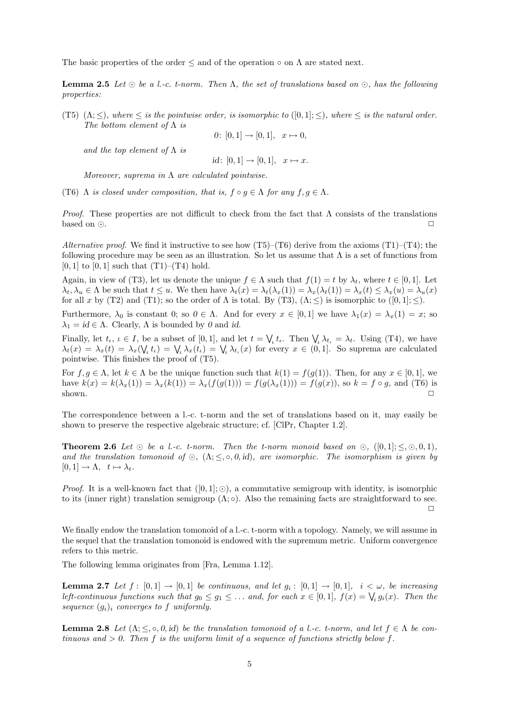The basic properties of the order  $\leq$  and of the operation  $\circ$  on  $\Lambda$  are stated next.

**Lemma 2.5** Let  $\odot$  be a l.-c. t-norm. Then  $\Lambda$ , the set of translations based on  $\odot$ , has the following properties:

(T5)  $(\Lambda; \leq)$ , where  $\leq$  is the pointwise order, is isomorphic to  $([0, 1]; \leq)$ , where  $\leq$  is the natural order. The bottom element of  $\Lambda$  is

$$
0\colon [0,1]\to [0,1], \quad x\mapsto 0,
$$

and the top element of  $\Lambda$  is

$$
id\colon [0,1]\to [0,1], \quad x\mapsto x.
$$

Moreover, suprema in  $\Lambda$  are calculated pointwise.

(T6)  $\Lambda$  is closed under composition, that is,  $f \circ g \in \Lambda$  for any  $f, g \in \Lambda$ .

*Proof.* These properties are not difficult to check from the fact that  $\Lambda$  consists of the translations  $\Box$ 

Alternative proof. We find it instructive to see how  $(T5)$ – $(T6)$  derive from the axioms  $(T1)$ – $(T4)$ ; the following procedure may be seen as an illustration. So let us assume that  $\Lambda$  is a set of functions from  $[0, 1]$  to  $[0, 1]$  such that  $(T1)$ – $(T4)$  hold.

Again, in view of (T3), let us denote the unique  $f \in \Lambda$  such that  $f(1) = t$  by  $\lambda_t$ , where  $t \in [0,1]$ . Let  $\lambda_t, \lambda_u \in \Lambda$  be such that  $t \leq u$ . We then have  $\lambda_t(x) = \lambda_t(\lambda_x(1)) = \lambda_x(\lambda_t(1)) = \lambda_x(t) \leq \lambda_x(u) = \lambda_u(x)$ for all x by (T2) and (T1); so the order of  $\Lambda$  is total. By (T3),  $(\Lambda; \leq)$  is isomorphic to  $([0, 1]; \leq)$ .

Furthermore,  $\lambda_0$  is constant 0; so  $0 \in \Lambda$ . And for every  $x \in [0,1]$  we have  $\lambda_1(x) = \lambda_x(1) = x$ ; so  $\lambda_1 = id \in \Lambda$ . Clearly,  $\Lambda$  is bounded by 0 and id.

Finally, let  $t_i$ ,  $i \in I$ , be a subset of [0, 1], and let  $t = \bigvee_t t_i$ . Then  $\bigvee_t \lambda_{t_i} = \lambda_t$ . Using (T4), we have  $\lambda_t(x) = \lambda_x(t) = \lambda_x(\bigvee_t t_t) = \bigvee_t \lambda_x(t_t) = \bigvee_t \lambda_{t_t}(x)$  for every  $x \in (0,1]$ . So suprema are calculated pointwise. This finishes the proof of (T5).

For  $f, g \in \Lambda$ , let  $k \in \Lambda$  be the unique function such that  $k(1) = f(g(1))$ . Then, for any  $x \in [0,1]$ , we have  $k(x) = k(\lambda_x(1)) = \lambda_x(k(1)) = \lambda_x(f(g(1))) = f(g(\lambda_x(1))) = f(g(x))$ , so  $k = f \circ g$ , and (T6) is shown.  $\Box$ 

The correspondence between a l.-c. t-norm and the set of translations based on it, may easily be shown to preserve the respective algebraic structure; cf. [ClPr, Chapter 1.2].

**Theorem 2.6** Let  $\odot$  be a l.-c. t-norm. Then the t-norm monoid based on  $\odot$ ,  $([0,1]; \leq, \odot, 0, 1)$ , and the translation tomonoid of  $\odot$ ,  $(\Lambda; \leq, \circ, 0, id)$ , are isomorphic. The isomorphism is given by  $[0, 1] \rightarrow \Lambda, \quad t \mapsto \lambda_t.$ 

*Proof.* It is a well-known fact that  $([0, 1]; \odot)$ , a commutative semigroup with identity, is isomorphic to its (inner right) translation semigroup  $(\Lambda; \circ)$ . Also the remaining facts are straightforward to see.  $\Box$ 

We finally endow the translation tomonoid of a l.-c. t-norm with a topology. Namely, we will assume in the sequel that the translation tomonoid is endowed with the supremum metric. Uniform convergence refers to this metric.

The following lemma originates from [Fra, Lemma 1.12].

**Lemma 2.7** Let  $f : [0,1] \rightarrow [0,1]$  be continuous, and let  $g_i : [0,1] \rightarrow [0,1]$ ,  $i < \omega$ , be increasing left-continuous functions such that  $g_0 \leq g_1 \leq \ldots$  and, for each  $x \in [0,1]$ ,  $f(x) = \bigvee_i g_i(x)$ . Then the sequence  $(q_i)_i$  converges to f uniformly.

**Lemma 2.8** Let  $(\Lambda; \leq, \circ, 0, id)$  be the translation tomonoid of a l.-c. t-norm, and let  $f \in \Lambda$  be continuous and  $> 0$ . Then f is the uniform limit of a sequence of functions strictly below f.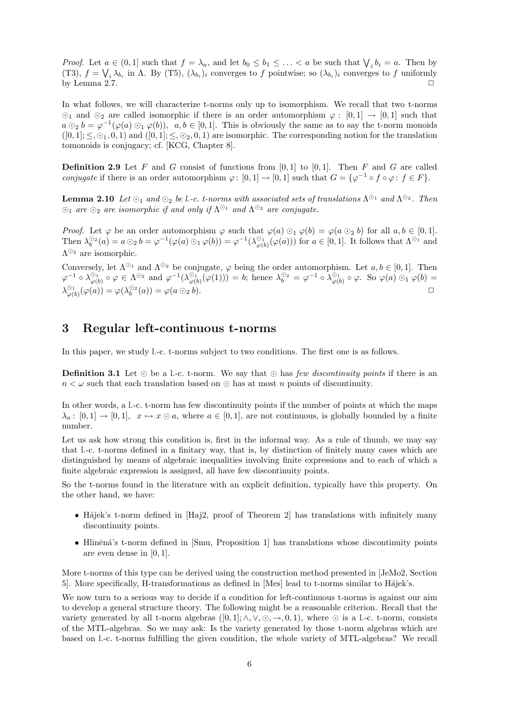*Proof.* Let  $a \in (0,1]$  such that  $f = \lambda_a$ , and let  $b_0 \leq b_1 \leq \ldots \leq a$  be such that  $\bigvee_i b_i = a$ . Then by (T3),  $f = \bigvee_i \lambda_{b_i}$  in  $\Lambda$ . By (T5),  $(\lambda_{b_i})_i$  converges to f pointwise; so  $(\lambda_{b_i})_i$  converges to f uniformly by Lemma 2.7.  $\Box$ 

In what follows, we will characterize t-norms only up to isomorphism. We recall that two t-norms  $\odot_1$  and  $\odot_2$  are called isomorphic if there is an order automorphism  $\varphi : [0,1] \to [0,1]$  such that  $a \odot_2 b = \varphi^{-1}(\varphi(a) \odot_1 \varphi(b)), a, b \in [0,1].$  This is obviously the same as to say the t-norm monoids  $([0,1]; \leq, \odot_1, 0, 1)$  and  $([0,1]; \leq, \odot_2, 0, 1)$  are isomorphic. The corresponding notion for the translation tomonoids is conjugacy; cf. [KCG, Chapter 8].

**Definition 2.9** Let F and G consist of functions from  $[0,1]$  to  $[0,1]$ . Then F and G are called conjugate if there is an order automorphism  $\varphi: [0,1] \to [0,1]$  such that  $G = {\varphi^{-1} \circ f \circ \varphi : f \in F}$ .

**Lemma 2.10** Let  $\odot_1$  and  $\odot_2$  be l.-c. t-norms with associated sets of translations  $\Lambda^{\odot_1}$  and  $\Lambda^{\odot_2}$ . Then  $\odot$ <sub>1</sub> are  $\odot$ <sub>2</sub> are isomorphic if and only if  $\Lambda^{\odot}$ <sub>1</sub> and  $\Lambda^{\odot}$ <sub>2</sub> are conjugate.

*Proof.* Let  $\varphi$  be an order automorphism  $\varphi$  such that  $\varphi(a) \odot_1 \varphi(b) = \varphi(a \odot_2 b)$  for all  $a, b \in [0, 1]$ . Then  $\lambda_b^{\odot 2}(a) = a \odot_2 b = \varphi^{-1}(\varphi(a) \odot_1 \varphi(b)) = \varphi^{-1}(\lambda_{\varphi(b)}^{\odot 1}(\varphi(a)))$  for  $a \in [0,1]$ . It follows that  $\Lambda^{\odot 1}$  and  $\Lambda^{\odot_2}$  are isomorphic.

Conversely, let  $\Lambda^{\odot_1}$  and  $\Lambda^{\odot_2}$  be conjugate,  $\varphi$  being the order automorphism. Let  $a, b \in [0, 1]$ . Then  $\varphi^{-1} \circ \lambda_{\varphi(b)}^{\odot 1} \circ \varphi \in \Lambda^{\odot 2}$  and  $\varphi^{-1}(\lambda_{\varphi(b)}^{\odot 1}(\varphi(1))) = b$ ; hence  $\lambda_b^{\odot 2} = \varphi^{-1} \circ \lambda_{\varphi(b)}^{\odot 1} \circ \varphi$ . So  $\varphi(a) \odot_1 \varphi(b) =$  $\lambda_{\varphi(b)}^{\odot_1}(\varphi(a)) = \varphi(\lambda_b^{\odot_2})$  $(a)) = \varphi(a \odot_2 b).$ 

### 3 Regular left-continuous t-norms

In this paper, we study l.-c. t-norms subject to two conditions. The first one is as follows.

**Definition 3.1** Let  $\odot$  be a l.-c. t-norm. We say that  $\odot$  has *few discontinuity points* if there is an  $n < \omega$  such that each translation based on  $\odot$  has at most n points of discontinuity.

In other words, a l.-c. t-norm has few discontinuity points if the number of points at which the maps  $\lambda_a: [0,1] \to [0,1], x \mapsto x \odot a$ , where  $a \in [0,1]$ , are not continuous, is globally bounded by a finite number.

Let us ask how strong this condition is, first in the informal way. As a rule of thumb, we may say that l.-c. t-norms defined in a finitary way, that is, by distinction of finitely many cases which are distinguished by means of algebraic inequalities involving finite expressions and to each of which a finite algebraic expression is assigned, all have few discontinuity points.

So the t-norms found in the literature with an explicit definition, typically have this property. On the other hand, we have:

- H $a$ iek's t-norm defined in [Haj2, proof of Theorem 2] has translations with infinitely many discontinuity points.
- Hliněná's t-norm defined in [Smu, Proposition 1] has translations whose discontinuity points are even dense in [0, 1].

More t-norms of this type can be derived using the construction method presented in [JeMo2, Section 5. More specifically, H-transformations as defined in [Mes] lead to t-norms similar to Hájek's.

We now turn to a serious way to decide if a condition for left-continuous t-norms is against our aim to develop a general structure theory. The following might be a reasonable criterion. Recall that the variety generated by all t-norm algebras  $([0,1], \wedge, \vee, \odot, \rightarrow, 0, 1)$ , where  $\odot$  is a l.-c. t-norm, consists of the MTL-algebras. So we may ask: Is the variety generated by those t-norm algebras which are based on l.-c. t-norms fulfilling the given condition, the whole variety of MTL-algebras? We recall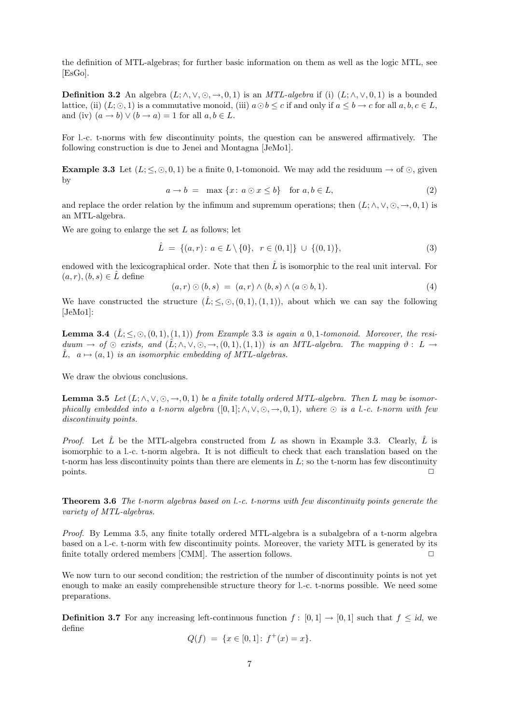the definition of MTL-algebras; for further basic information on them as well as the logic MTL, see [EsGo].

**Definition 3.2** An algebra  $(L; \wedge, \vee, \odot, \rightarrow, 0, 1)$  is an *MTL-algebra* if (i)  $(L; \wedge, \vee, 0, 1)$  is a bounded lattice, (ii)  $(L, \odot, 1)$  is a commutative monoid, (iii)  $a \odot b \leq c$  if and only if  $a \leq b \rightarrow c$  for all  $a, b, c \in L$ , and (iv)  $(a \rightarrow b) \vee (b \rightarrow a) = 1$  for all  $a, b \in L$ .

For l.-c. t-norms with few discontinuity points, the question can be answered affirmatively. The following construction is due to Jenei and Montagna [JeMo1].

**Example 3.3** Let  $(L, \leq, \odot, 0, 1)$  be a finite 0, 1-tomonoid. We may add the residuum  $\rightarrow$  of  $\odot$ , given by

$$
a \to b = \max \{x \colon a \odot x \le b\} \quad \text{for } a, b \in L,
$$
 (2)

and replace the order relation by the infimum and supremum operations; then  $(L; \wedge, \vee, \odot, \rightarrow, 0, 1)$  is an MTL-algebra.

We are going to enlarge the set  $L$  as follows; let

$$
\hat{L} = \{(a, r): a \in L \setminus \{0\}, \ r \in (0, 1]\} \cup \{(0, 1)\},\tag{3}
$$

endowed with the lexicographical order. Note that then  $\hat{L}$  is isomorphic to the real unit interval. For  $(a, r), (b, s) \in \hat{L}$  define

$$
(a,r) \odot (b,s) = (a,r) \land (b,s) \land (a \odot b,1). \tag{4}
$$

We have constructed the structure  $(\hat{L}; \leq, \odot, (0, 1), (1, 1))$ , about which we can say the following [JeMo1]:

**Lemma 3.4**  $(\hat{L}; \leq, \odot, (0, 1), (1, 1))$  from Example 3.3 is again a 0, 1-tomonoid. Moreover, the resi $duum \rightarrow of \odot exists, and (\hat{L}; \wedge, \vee, \odot, \rightarrow, (0, 1), (1, 1))$  is an MTL-algebra. The mapping  $\vartheta: L \rightarrow$  $\hat{L}, a \mapsto (a, 1)$  is an isomorphic embedding of MTL-algebras.

We draw the obvious conclusions.

**Lemma 3.5** Let  $(L; \wedge, \vee, \odot, \rightarrow, 0, 1)$  be a finite totally ordered MTL-algebra. Then L may be isomorphically embedded into a t-norm algebra  $([0,1]; \wedge, \vee, \odot, \rightarrow, 0, 1)$ , where  $\odot$  is a l.-c. t-norm with few discontinuity points.

*Proof.* Let  $\hat{L}$  be the MTL-algebra constructed from L as shown in Example 3.3. Clearly,  $\hat{L}$  is isomorphic to a l.-c. t-norm algebra. It is not difficult to check that each translation based on the t-norm has less discontinuity points than there are elements in  $L$ ; so the t-norm has few discontinuity  $\Box$ 

Theorem 3.6 The t-norm algebras based on l.-c. t-norms with few discontinuity points generate the variety of MTL-algebras.

Proof. By Lemma 3.5, any finite totally ordered MTL-algebra is a subalgebra of a t-norm algebra based on a l.-c. t-norm with few discontinuity points. Moreover, the variety MTL is generated by its finite totally ordered members [CMM]. The assertion follows.  $\Box$ 

We now turn to our second condition; the restriction of the number of discontinuity points is not yet enough to make an easily comprehensible structure theory for l.-c. t-norms possible. We need some preparations.

**Definition 3.7** For any increasing left-continuous function  $f : [0, 1] \rightarrow [0, 1]$  such that  $f \leq id$ , we define

$$
Q(f) = \{ x \in [0,1] \colon f^+(x) = x \}.
$$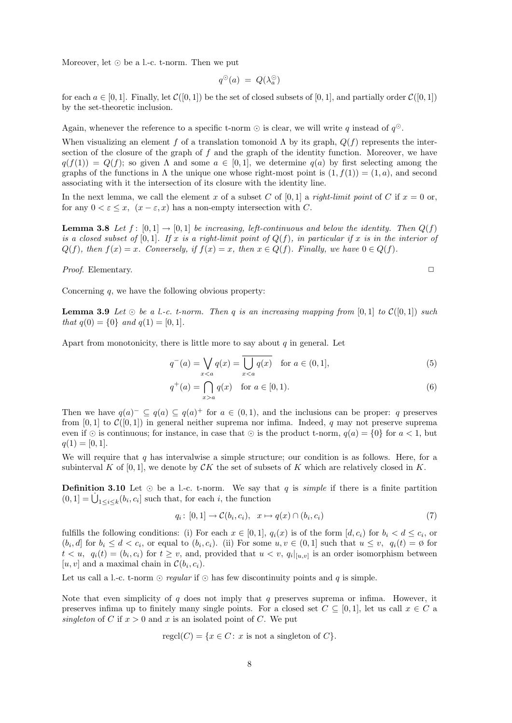Moreover, let  $\odot$  be a l.-c. t-norm. Then we put

 $q^{\odot}(a) = Q(\lambda_a^{\odot})$ 

for each  $a \in [0,1]$ . Finally, let  $\mathcal{C}([0,1])$  be the set of closed subsets of  $[0,1]$ , and partially order  $\mathcal{C}([0,1])$ by the set-theoretic inclusion.

Again, whenever the reference to a specific t-norm  $\odot$  is clear, we will write q instead of  $q^{\odot}$ .

When visualizing an element f of a translation tomonoid  $\Lambda$  by its graph,  $Q(f)$  represents the intersection of the closure of the graph of  $f$  and the graph of the identity function. Moreover, we have  $q(f(1)) = Q(f)$ ; so given A and some  $a \in [0,1]$ , we determine  $q(a)$  by first selecting among the graphs of the functions in  $\Lambda$  the unique one whose right-most point is  $(1, f(1)) = (1, a)$ , and second associating with it the intersection of its closure with the identity line.

In the next lemma, we call the element x of a subset C of  $[0,1]$  a right-limit point of C if  $x = 0$  or, for any  $0 < \varepsilon \leq x$ ,  $(x - \varepsilon, x)$  has a non-empty intersection with C.

**Lemma 3.8** Let  $f : [0,1] \rightarrow [0,1]$  be increasing, left-continuous and below the identity. Then  $Q(f)$ is a closed subset of [0, 1]. If x is a right-limit point of  $Q(f)$ , in particular if x is in the interior of  $Q(f)$ , then  $f(x) = x$ . Conversely, if  $f(x) = x$ , then  $x \in Q(f)$ . Finally, we have  $0 \in Q(f)$ .

Proof. Elementary. □

Concerning  $q$ , we have the following obvious property:

**Lemma 3.9** Let  $\odot$  be a l.-c. t-norm. Then q is an increasing mapping from [0,1] to  $\mathcal{C}([0,1])$  such that  $q(0) = \{0\}$  and  $q(1) = [0, 1]$ .

Apart from monotonicity, there is little more to say about  $q$  in general. Let

$$
q^{-}(a) = \bigvee_{x < a} q(x) = \overline{\bigcup_{x < a} q(x)} \quad \text{for } a \in (0, 1],\tag{5}
$$

$$
q^{+}(a) = \bigcap_{x>a} q(x) \quad \text{for } a \in [0,1).
$$
 (6)

Then we have  $q(a)^{-} \subseteq q(a) \subseteq q(a)^{+}$  for  $a \in (0,1)$ , and the inclusions can be proper: q preserves from [0, 1] to  $\mathcal{C}([0,1])$  in general neither suprema nor infima. Indeed, q may not preserve suprema even if  $\odot$  is continuous; for instance, in case that  $\odot$  is the product t-norm,  $q(a) = \{0\}$  for  $a < 1$ , but  $q(1) = [0, 1].$ 

We will require that  $q$  has intervalwise a simple structure; our condition is as follows. Here, for a subinterval K of [0, 1], we denote by  $\mathcal{C}K$  the set of subsets of K which are relatively closed in K.

**Definition 3.10** Let  $\odot$  be a l.-c. t-norm. We say that q is *simple* if there is a finite partition  $(0,1] = \bigcup_{1 \leq i \leq k} (b_i, c_i]$  such that, for each i, the function

$$
q_i \colon [0,1] \to \mathcal{C}(b_i, c_i), \quad x \mapsto q(x) \cap (b_i, c_i) \tag{7}
$$

fulfills the following conditions: (i) For each  $x \in [0,1]$ ,  $q_i(x)$  is of the form  $[d, c_i]$  for  $b_i < d \leq c_i$ , or  $(b_i, d]$  for  $b_i \leq d < c_i$ , or equal to  $(b_i, c_i)$ . (ii) For some  $u, v \in (0, 1]$  such that  $u \leq v$ ,  $q_i(t) = \emptyset$  for  $t \leq u, \quad q_i(t) = (b_i, c_i)$  for  $t \geq v$ , and, provided that  $u \leq v$ ,  $q_i|_{[u,v]}$  is an order isomorphism between  $[u, v]$  and a maximal chain in  $\mathcal{C}(b_i, c_i)$ .

Let us call a l.-c. t-norm  $\odot$  regular if  $\odot$  has few discontinuity points and q is simple.

Note that even simplicity of q does not imply that q preserves suprema or infima. However, it preserves infima up to finitely many single points. For a closed set  $C \subseteq [0,1]$ , let us call  $x \in C$  a singleton of C if  $x > 0$  and x is an isolated point of C. We put

$$
regcl(C) = \{x \in C : x \text{ is not a singleton of } C\}.
$$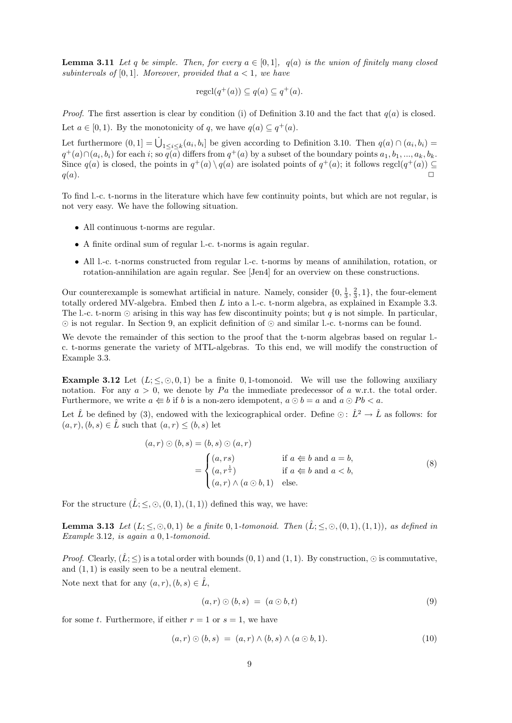**Lemma 3.11** Let q be simple. Then, for every  $a \in [0,1]$ ,  $q(a)$  is the union of finitely many closed subintervals of  $[0, 1]$ . Moreover, provided that  $a < 1$ , we have

$$
regcl(q^+(a)) \subseteq q(a) \subseteq q^+(a).
$$

*Proof.* The first assertion is clear by condition (i) of Definition 3.10 and the fact that  $q(a)$  is closed. Let  $a \in [0, 1)$ . By the monotonicity of q, we have  $q(a) \subseteq q^+(a)$ .

Let furthermore  $(0,1] = \dot{\bigcup}_{1 \leq i \leq k} (a_i, b_i]$  be given according to Definition 3.10. Then  $q(a) \cap (a_i, b_i)$  $q^+(a) \cap (a_i, b_i)$  for each i; so  $\overline{q(a)}$  differs from  $q^+(a)$  by a subset of the boundary points  $a_1, b_1, ..., a_k, b_k$ . Since  $q(a)$  is closed, the points in  $q^+(a) \setminus q(a)$  are isolated points of  $q^+(a)$ ; it follows regcl $(q^+(a)) \subseteq$  $q(a).$ 

To find l.-c. t-norms in the literature which have few continuity points, but which are not regular, is not very easy. We have the following situation.

- All continuous t-norms are regular.
- A finite ordinal sum of regular l.-c. t-norms is again regular.
- All l.-c. t-norms constructed from regular l.-c. t-norms by means of annihilation, rotation, or rotation-annihilation are again regular. See [Jen4] for an overview on these constructions.

Our counterexample is somewhat artificial in nature. Namely, consider  $\{0, \frac{1}{3}, \frac{2}{3}, 1\}$ , the four-element totally ordered MV-algebra. Embed then L into a l.-c. t-norm algebra, as explained in Example 3.3. The l.-c. t-norm  $\odot$  arising in this way has few discontinuity points; but q is not simple. In particular,  $\odot$  is not regular. In Section 9, an explicit definition of  $\odot$  and similar l.-c. t-norms can be found.

We devote the remainder of this section to the proof that the t-norm algebras based on regular l. c. t-norms generate the variety of MTL-algebras. To this end, we will modify the construction of Example 3.3.

**Example 3.12** Let  $(L, \leq, 0, 0, 1)$  be a finite 0, 1-tomonoid. We will use the following auxiliary notation. For any  $a > 0$ , we denote by Pa the immediate predecessor of a w.r.t. the total order. Furthermore, we write  $a \in b$  if b is a non-zero idempotent,  $a \odot b = a$  and  $a \odot Pb < a$ .

Let  $\hat{L}$  be defined by (3), endowed with the lexicographical order. Define  $\odot$ :  $\hat{L}^2 \rightarrow \hat{L}$  as follows: for  $(a, r), (b, s) \in \hat{L}$  such that  $(a, r) \leq (b, s)$  let

$$
(a, r) \odot (b, s) = (b, s) \odot (a, r)
$$
  
\n
$$
= \begin{cases}\n(a, rs) & \text{if } a \notin b \text{ and } a = b, \\
(a, r^{\frac{1}{s}}) & \text{if } a \notin b \text{ and } a < b, \\
(a, r) \land (a \odot b, 1) & \text{else.} \n\end{cases}
$$
\n(8)

For the structure  $(\hat{L}; \leq, \odot, (0, 1), (1, 1))$  defined this way, we have:

**Lemma 3.13** Let  $(L, \leq, 0, 0, 1)$  be a finite 0, 1-tomonoid. Then  $(\hat{L}, \leq, 0, (0, 1), (1, 1))$ , as defined in Example 3.12, is again a 0, 1-tomonoid.

*Proof.* Clearly,  $(L, \leq)$  is a total order with bounds  $(0, 1)$  and  $(1, 1)$ . By construction,  $\odot$  is commutative, and (1, 1) is easily seen to be a neutral element.

Note next that for any  $(a, r), (b, s) \in \hat{L}$ ,

$$
(a,r)\odot(b,s) = (a \odot b,t) \tag{9}
$$

for some t. Furthermore, if either  $r = 1$  or  $s = 1$ , we have

$$
(a,r) \odot (b,s) = (a,r) \land (b,s) \land (a \odot b,1). \tag{10}
$$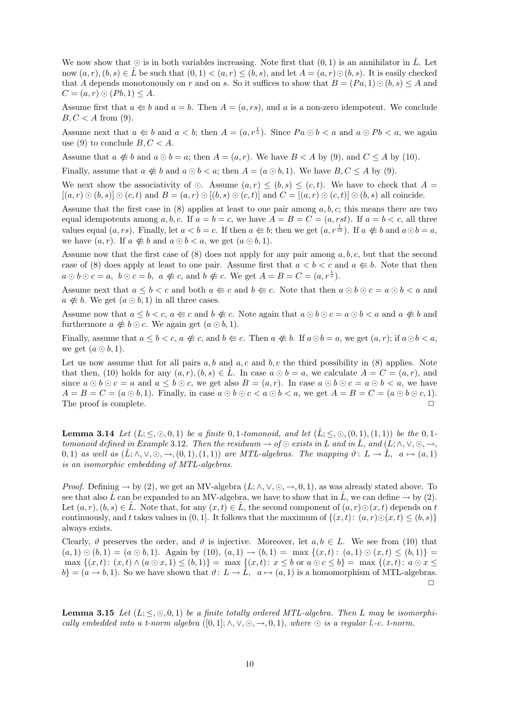We now show that  $\odot$  is in both variables increasing. Note first that  $(0, 1)$  is an annihilator in  $\hat{L}$ . Let now  $(a, r), (b, s) \in \hat{L}$  be such that  $(0, 1) < (a, r) \leq (b, s)$ , and let  $A = (a, r) \odot (b, s)$ . It is easily checked that A depends monotonously on r and on s. So it suffices to show that  $B = (Pa, 1) \odot (b, s) \leq A$  and  $C = (a, r) \odot (Pb, 1) \leq A.$ 

Assume first that  $a \neq b$  and  $a = b$ . Then  $A = (a, rs)$ , and a is a non-zero idempotent. We conclude  $B, C < A$  from (9).

Assume next that  $a \notin b$  and  $a < b$ ; then  $A = (a, r^{\frac{1}{s}})$ . Since  $Pa \odot b < a$  and  $a \odot Pb < a$ , we again use (9) to conclude  $B, C < A$ .

Assume that  $a \notin b$  and  $a \odot b = a$ ; then  $A = (a, r)$ . We have  $B < A$  by (9), and  $C < A$  by (10).

Finally, assume that  $a \notin b$  and  $a \odot b < a$ ; then  $A = (a \odot b, 1)$ . We have  $B, C \leq A$  by (9).

We next show the associativity of  $\odot$ . Assume  $(a, r) \leq (b, s) \leq (c, t)$ . We have to check that  $A =$  $[(a, r) \odot (b, s)] \odot (c, t)$  and  $B = (a, r) \odot [(b, s) \odot (c, t)]$  and  $C = [(a, r) \odot (c, t)] \odot (b, s)$  all coincide.

Assume that the first case in  $(8)$  applies at least to one pair among  $a, b, c$ ; this means there are two equal idempotents among a, b, c. If  $a = b = c$ , we have  $A = B = C = (a, rst)$ . If  $a = b < c$ , all three values equal  $(a, rs)$ . Finally, let  $a < b = c$ . If then  $a \notin b$ ; then we get  $(a, r^{\frac{1}{st}})$ . If  $a \notin b$  and  $a \odot b = a$ , we have  $(a, r)$ . If  $a \notin b$  and  $a \odot b < a$ , we get  $(a \odot b, 1)$ .

Assume now that the first case of  $(8)$  does not apply for any pair among  $a, b, c$ , but that the second case of (8) does apply at least to one pair. Assume first that  $a < b < c$  and  $a \notin b$ . Note that then  $a \odot b \odot c = a$ ,  $b \odot c = b$ ,  $a \notin c$ , and  $b \notin c$ . We get  $A = B = C = (a, r^{\frac{1}{s}})$ .

Assume next that  $a \leq b < c$  and both  $a \in c$  and  $b \in c$ . Note that then  $a \odot b \odot c = a \odot b < a$  and  $a \notin b$ . We get  $(a \odot b, 1)$  in all three cases.

Assume now that  $a \leq b < c$ ,  $a \in c$  and  $b \notin c$ . Note again that  $a \odot b \odot c = a \odot b < a$  and  $a \notin b$  and furthermore  $a \notin b \odot c$ . We again get  $(a \odot b, 1)$ .

Finally, assume that  $a \leq b < c$ ,  $a \notin c$ , and  $b \notin c$ . Then  $a \notin b$ . If  $a \odot b = a$ , we get  $(a, r)$ ; if  $a \odot b < a$ , we get  $(a \odot b, 1)$ .

Let us now assume that for all pairs  $a, b$  and  $a, c$  and  $b, c$  the third possibility in (8) applies. Note that then, (10) holds for any  $(a, r), (b, s) \in L$ . In case  $a \odot b = a$ , we calculate  $A = C = (a, r)$ , and since  $a \odot b \odot c = a$  and  $a \leq b \odot c$ , we get also  $B = (a, r)$ . In case  $a \odot b \odot c = a \odot b < a$ , we have  $A = B = C = (a \odot b, 1)$ . Finally, in case  $a \odot b \odot c < a \odot b < a$ , we get  $A = B = C = (a \odot b \odot c, 1)$ . The proof is complete.  $\Box$ 

**Lemma 3.14** Let  $(L; \leq, 0, 0, 1)$  be a finite 0, 1-tomonoid, and let  $(\hat{L}; \leq, 0, (0, 1), (1, 1))$  be the 0, 1tomonoid defined in Example 3.12. Then the residuum  $\rightarrow$  of  $\odot$  exists in L and in L, and  $(L; \wedge, \vee, \odot, \rightarrow,$ 0, 1) as well as  $(L, \wedge, \vee, \odot, \rightarrow, (0, 1), (1, 1))$  are MTL-algebras. The mapping  $\vartheta: L \to L$ ,  $a \mapsto (a, 1)$ is an isomorphic embedding of MTL-algebras.

*Proof.* Defining  $\rightarrow$  by (2), we get an MV-algebra  $(L; \wedge, \vee, \odot, \rightarrow, 0, 1)$ , as was already stated above. To see that also  $\hat{L}$  can be expanded to an MV-algebra, we have to show that in  $\hat{L}$ , we can define  $\rightarrow$  by (2). Let  $(a, r), (b, s) \in \hat{L}$ . Note that, for any  $(x, t) \in \hat{L}$ , the second component of  $(a, r) \odot (x, t)$  depends on t continuously, and t takes values in  $(0, 1]$ . It follows that the maximum of  $\{(x, t): (a, r) \odot (x, t) \leq (b, s)\}\$ always exists.

Clearly,  $\vartheta$  preserves the order, and  $\vartheta$  is injective. Moreover, let  $a, b \in L$ . We see from (10) that  $(a, 1) \odot (b, 1) = (a \odot b, 1)$ . Again by (10),  $(a, 1) \rightarrow (b, 1) = \max \{(x, t): (a, 1) \odot (x, t) \leq (b, 1)\}$ max  $\{(x,t): (x,t) \wedge (a \odot x, 1) \leq (b,1)\}$  = max  $\{(x,t): x \leq b \text{ or } a \odot c \leq b\}$  = max  $\{(x,t): a \odot x \leq b \}$  $b$  =  $(a \rightarrow b, 1)$ . So we have shown that  $\vartheta: L \rightarrow \mathring{L}$ ,  $a \mapsto (a, 1)$  is a homomorphism of MTL-algebras.  $\Box$ 

**Lemma 3.15** Let  $(L, \leq, 0, 0, 1)$  be a finite totally ordered MTL-algebra. Then L may be isomorphically embedded into a t-norm algebra  $([0,1]; \wedge, \vee, \odot, \rightarrow, 0, 1)$ , where  $\odot$  is a regular l.-c. t-norm.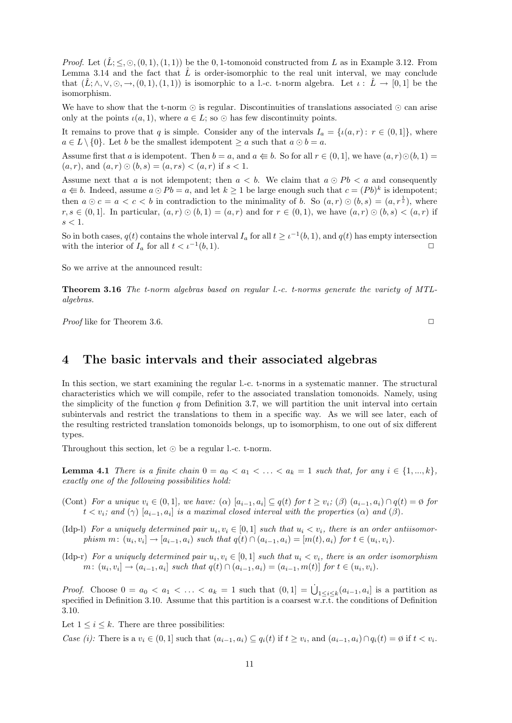*Proof.* Let  $(\hat{L}; \leq, \odot, (0, 1), (1, 1))$  be the 0, 1-tomonoid constructed from L as in Example 3.12. From Lemma 3.14 and the fact that  $\hat{L}$  is order-isomorphic to the real unit interval, we may conclude that  $(L; \wedge, \vee, \odot, \rightarrow, (0, 1), (1, 1))$  is isomorphic to a l.-c. t-norm algebra. Let  $\iota : L \rightarrow [0, 1]$  be the isomorphism.

We have to show that the t-norm  $\odot$  is regular. Discontinuities of translations associated  $\odot$  can arise only at the points  $\iota(a,1)$ , where  $a \in L$ ; so  $\odot$  has few discontinuity points.

It remains to prove that q is simple. Consider any of the intervals  $I_a = \{i(a, r): r \in (0, 1]\}\,$ , where  $a \in L \setminus \{0\}$ . Let b be the smallest idempotent  $\ge a$  such that  $a \odot b = a$ .

Assume first that a is idempotent. Then  $b = a$ , and  $a \notin b$ . So for all  $r \in (0,1]$ , we have  $(a,r) \odot (b,1) =$  $(a, r)$ , and  $(a, r) \odot (b, s) = (a, rs) < (a, r)$  if  $s < 1$ .

Assume next that a is not idempotent; then  $a < b$ . We claim that  $a \odot Pb < a$  and consequently  $a \notin b$ . Indeed, assume  $a \odot Pb = a$ , and let  $k \ge 1$  be large enough such that  $c = (Pb)^k$  is idempotent; then  $a \odot c = a < c < b$  in contradiction to the minimality of b. So  $(a, r) \odot (b, s) = (a, r^{\frac{1}{s}})$ , where  $r, s \in (0,1]$ . In particular,  $(a, r) \odot (b, 1) = (a, r)$  and for  $r \in (0,1)$ , we have  $(a, r) \odot (b, s) < (a, r)$  if  $s < 1$ .

So in both cases,  $q(t)$  contains the whole interval  $I_a$  for all  $t \geq \iota^{-1}(b, 1)$ , and  $q(t)$  has empty intersection with the interior of  $I_a$  for all  $t < \iota^{-1}(b, 1)$ .  $(b, 1)$ .

So we arrive at the announced result:

Theorem 3.16 The t-norm algebras based on regular l.-c. t-norms generate the variety of MTLalgebras.

*Proof* like for Theorem 3.6.  $\Box$ 

### 4 The basic intervals and their associated algebras

In this section, we start examining the regular l.-c. t-norms in a systematic manner. The structural characteristics which we will compile, refer to the associated translation tomonoids. Namely, using the simplicity of the function  $q$  from Definition 3.7, we will partition the unit interval into certain subintervals and restrict the translations to them in a specific way. As we will see later, each of the resulting restricted translation tomonoids belongs, up to isomorphism, to one out of six different types.

Throughout this section, let  $\odot$  be a regular l.-c. t-norm.

**Lemma 4.1** There is a finite chain  $0 = a_0 < a_1 < \ldots < a_k = 1$  such that, for any  $i \in \{1, ..., k\}$ , exactly one of the following possibilities hold:

- (Cont) For a unique  $v_i \in (0,1]$ , we have: ( $\alpha$ )  $[a_{i-1}, a_i] \subseteq q(t)$  for  $t \ge v_i$ ; ( $\beta$ )  $(a_{i-1}, a_i) \cap q(t) = \emptyset$  for  $t < v_i$ ; and  $(\gamma)$   $[a_{i-1}, a_i]$  is a maximal closed interval with the properties  $(\alpha)$  and  $(\beta)$ .
- (Idp-1) For a uniquely determined pair  $u_i, v_i \in [0,1]$  such that  $u_i < v_i$ , there is an order antiisomorphism  $m: (u_i, v_i] \to [a_{i-1}, a_i)$  such that  $q(t) \cap (a_{i-1}, a_i) = [m(t), a_i)$  for  $t \in (u_i, v_i)$ .
- (Idp-r) For a uniquely determined pair  $u_i, v_i \in [0,1]$  such that  $u_i < v_i$ , there is an order isomorphism  $m: (u_i, v_i] \to (a_{i-1}, a_i]$  such that  $q(t) \cap (a_{i-1}, a_i) = (a_{i-1}, m(t)]$  for  $t \in (u_i, v_i)$ .

*Proof.* Choose  $0 = a_0 < a_1 < \ldots < a_k = 1$  such that  $(0, 1] = \bigcup_{1 \leq i \leq k} (a_{i-1}, a_i]$  is a partition as specified in Definition 3.10. Assume that this partition is a coarsest w.r.t. the conditions of Definition 3.10.

Let  $1 \leq i \leq k$ . There are three possibilities:

Case (i): There is a  $v_i \in (0,1]$  such that  $(a_{i-1}, a_i) \subseteq q_i(t)$  if  $t \ge v_i$ , and  $(a_{i-1}, a_i) \cap q_i(t) = \emptyset$  if  $t < v_i$ .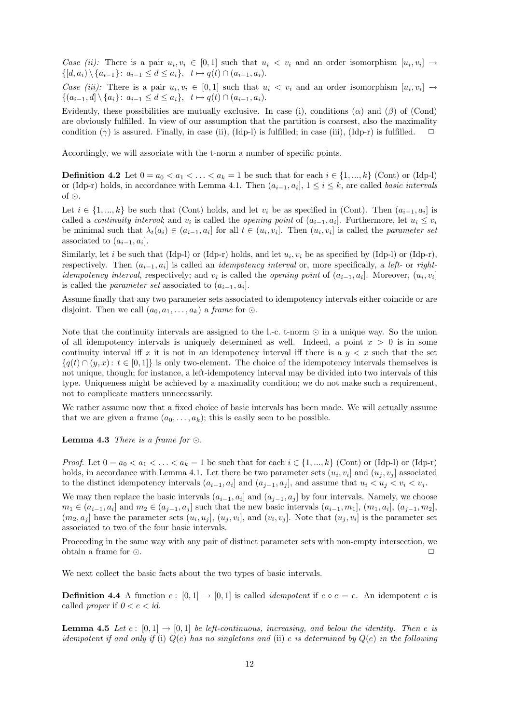Case (ii): There is a pair  $u_i, v_i \in [0,1]$  such that  $u_i < v_i$  and an order isomorphism  $[u_i, v_i] \rightarrow$  $\{[d, a_i) \setminus \{a_{i-1}\} : a_{i-1} \leq d \leq a_i\}, \ \ t \mapsto q(t) \cap (a_{i-1}, a_i).$ 

Case (iii): There is a pair  $u_i, v_i \in [0,1]$  such that  $u_i < v_i$  and an order isomorphism  $[u_i, v_i] \rightarrow$  $\{(a_{i-1}, d] \setminus \{a_i\} : a_{i-1} \leq d \leq a_i\}, \ t \mapsto q(t) \cap (a_{i-1}, a_i).$ 

Evidently, these possibilities are mutually exclusive. In case (i), conditions ( $\alpha$ ) and ( $\beta$ ) of (Cond) are obviously fulfilled. In view of our assumption that the partition is coarsest, also the maximality condition  $(\gamma)$  is assured. Finally, in case (ii), (Idp-l) is fulfilled; in case (iii), (Idp-r) is fulfilled.  $\Box$ 

Accordingly, we will associate with the t-norm a number of specific points.

**Definition 4.2** Let  $0 = a_0 < a_1 < \ldots < a_k = 1$  be such that for each  $i \in \{1, ..., k\}$  (Cont) or (Idp-1) or (Idp-r) holds, in accordance with Lemma 4.1. Then  $(a_{i-1}, a_i]$ ,  $1 \le i \le k$ , are called *basic intervals* of  $\odot$ .

Let  $i \in \{1, ..., k\}$  be such that (Cont) holds, and let  $v_i$  be as specified in (Cont). Then  $(a_{i-1}, a_i]$  is called a *continuity interval*; and  $v_i$  is called the *opening point* of  $(a_{i-1}, a_i]$ . Furthermore, let  $u_i \leq v_i$ be minimal such that  $\lambda_t(a_i) \in (a_{i-1}, a_i]$  for all  $t \in (u_i, v_i]$ . Then  $(u_i, v_i]$  is called the parameter set associated to  $(a_{i-1}, a_i]$ .

Similarly, let *i* be such that (Idp-l) or (Idp-r) holds, and let  $u_i, v_i$  be as specified by (Idp-l) or (Idp-r), respectively. Then  $(a_{i-1}, a_i]$  is called an *idempotency interval* or, more specifically, a *left*- or *rightidempotency interval*, respectively; and  $v_i$  is called the *opening point* of  $(a_{i-1}, a_i]$ . Moreover,  $(u_i, v_i]$ is called the *parameter set* associated to  $(a_{i-1}, a_i]$ .

Assume finally that any two parameter sets associated to idempotency intervals either coincide or are disjoint. Then we call  $(a_0, a_1, \ldots, a_k)$  a frame for  $\odot$ .

Note that the continuity intervals are assigned to the l.-c. t-norm  $\odot$  in a unique way. So the union of all idempotency intervals is uniquely determined as well. Indeed, a point  $x > 0$  is in some continuity interval iff x it is not in an idempotency interval iff there is a  $y < x$  such that the set  $\{q(t) \cap (y, x): t \in [0, 1]\}$  is only two-element. The choice of the idempotency intervals themselves is not unique, though; for instance, a left-idempotency interval may be divided into two intervals of this type. Uniqueness might be achieved by a maximality condition; we do not make such a requirement, not to complicate matters unnecessarily.

We rather assume now that a fixed choice of basic intervals has been made. We will actually assume that we are given a frame  $(a_0, \ldots, a_k)$ ; this is easily seen to be possible.

**Lemma 4.3** There is a frame for  $\odot$ .

*Proof.* Let  $0 = a_0 < a_1 < \ldots < a_k = 1$  be such that for each  $i \in \{1, ..., k\}$  (Cont) or (Idp-1) or (Idp-r) holds, in accordance with Lemma 4.1. Let there be two parameter sets  $(u_i, v_i]$  and  $(u_j, v_j]$  associated to the distinct idempotency intervals  $(a_{i-1}, a_i]$  and  $(a_{j-1}, a_j]$ , and assume that  $u_i < u_j < v_i < v_j$ .

We may then replace the basic intervals  $(a_{i-1}, a_i]$  and  $(a_{j-1}, a_j]$  by four intervals. Namely, we choose  $m_1 \in (a_{i-1}, a_i]$  and  $m_2 \in (a_{j-1}, a_j]$  such that the new basic intervals  $(a_{i-1}, m_1]$ ,  $(m_1, a_i]$ ,  $(a_{j-1}, m_2]$ ,  $(m_2, a_j]$  have the parameter sets  $(u_i, u_j]$ ,  $(u_j, v_i]$ , and  $(v_i, v_j]$ . Note that  $(u_j, v_i]$  is the parameter set associated to two of the four basic intervals.

Proceeding in the same way with any pair of distinct parameter sets with non-empty intersection, we obtain a frame for  $\odot$ .

We next collect the basic facts about the two types of basic intervals.

**Definition 4.4** A function  $e : [0,1] \rightarrow [0,1]$  is called *idempotent* if  $e \circ e = e$ . An idempotent e is called *proper* if  $0 < e < id$ .

**Lemma 4.5** Let  $e: [0,1] \rightarrow [0,1]$  be left-continuous, increasing, and below the identity. Then e is idempotent if and only if (i)  $Q(e)$  has no singletons and (ii) e is determined by  $Q(e)$  in the following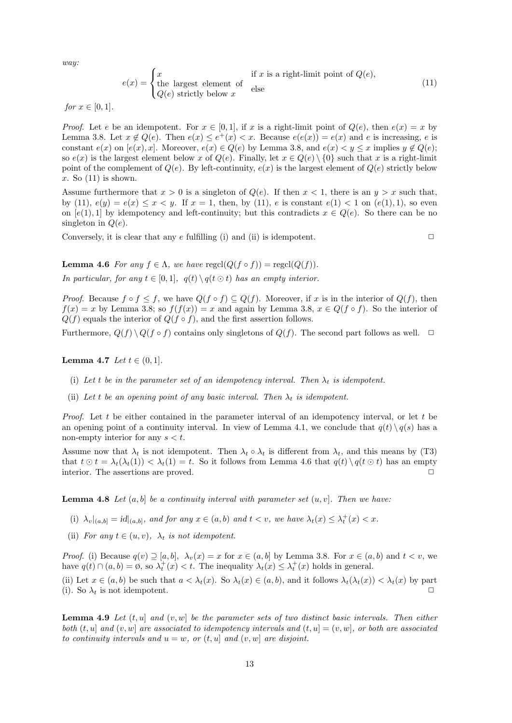way:

$$
e(x) = \begin{cases} x & \text{if } x \text{ is a right-limit point of } Q(e), \\ \text{the largest element of } \\ Q(e) \text{ strictly below } x \end{cases}
$$
 (11)

*for*  $x \in [0, 1]$ .

*Proof.* Let e be an idempotent. For  $x \in [0,1]$ , if x is a right-limit point of  $Q(e)$ , then  $e(x) = x$  by Lemma 3.8. Let  $x \notin Q(e)$ . Then  $e(x) \leq e^+(x) < x$ . Because  $e(e(x)) = e(x)$  and e is increasing, e is constant  $e(x)$  on  $[e(x), x]$ . Moreover,  $e(x) \in Q(e)$  by Lemma 3.8, and  $e(x) < y \leq x$  implies  $y \notin Q(e)$ ; so  $e(x)$  is the largest element below x of  $Q(e)$ . Finally, let  $x \in Q(e) \setminus \{0\}$  such that x is a right-limit point of the complement of  $Q(e)$ . By left-continuity,  $e(x)$  is the largest element of  $Q(e)$  strictly below  $x.$  So  $(11)$  is shown.

Assume furthermore that  $x > 0$  is a singleton of  $Q(e)$ . If then  $x < 1$ , there is an  $y > x$  such that, by (11),  $e(y) = e(x) \le x < y$ . If  $x = 1$ , then, by (11), e is constant  $e(1) < 1$  on  $(e(1), 1)$ , so even on  $[e(1), 1]$  by idempotency and left-continuity; but this contradicts  $x \in Q(e)$ . So there can be no singleton in  $Q(e)$ .

Conversely, it is clear that any  $e$  fulfilling (i) and (ii) is idempotent.  $\Box$ 

**Lemma 4.6** For any  $f \in \Lambda$ , we have  $regcl(Q(f \circ f)) = regcl(Q(f)).$ 

In particular, for any  $t \in [0,1]$ ,  $q(t) \setminus q(t \odot t)$  has an empty interior.

*Proof.* Because  $f \circ f \leq f$ , we have  $Q(f \circ f) \subseteq Q(f)$ . Moreover, if x is in the interior of  $Q(f)$ , then  $f(x) = x$  by Lemma 3.8; so  $f(f(x)) = x$  and again by Lemma 3.8,  $x \in Q(f \circ f)$ . So the interior of  $Q(f)$  equals the interior of  $Q(f \circ f)$ , and the first assertion follows.

Furthermore,  $Q(f) \setminus Q(f \circ f)$  contains only singletons of  $Q(f)$ . The second part follows as well.  $\Box$ 

**Lemma 4.7** Let  $t \in (0, 1]$ .

- (i) Let t be in the parameter set of an idempotency interval. Then  $\lambda_t$  is idempotent.
- (ii) Let t be an opening point of any basic interval. Then  $\lambda_t$  is idempotent.

*Proof.* Let t be either contained in the parameter interval of an idempotency interval, or let t be an opening point of a continuity interval. In view of Lemma 4.1, we conclude that  $q(t) \setminus q(s)$  has a non-empty interior for any  $s < t$ .

Assume now that  $\lambda_t$  is not idempotent. Then  $\lambda_t \circ \lambda_t$  is different from  $\lambda_t$ , and this means by (T3) that  $t \odot t = \lambda_t(\lambda_t(1)) < \lambda_t(1) = t$ . So it follows from Lemma 4.6 that  $q(t) \setminus q(t \odot t)$  has an empty interior. The assertions are proved.

**Lemma 4.8** Let  $(a, b]$  be a continuity interval with parameter set  $(u, v)$ . Then we have:

- (i)  $\lambda_v|_{(a,b]} = id|_{(a,b]},$  and for any  $x \in (a,b)$  and  $t < v$ , we have  $\lambda_t(x) \leq \lambda_t^+(x) < x$ .
- (ii) For any  $t \in (u, v)$ ,  $\lambda_t$  is not idempotent.

*Proof.* (i) Because  $q(v) \supseteq [a, b]$ ,  $\lambda_v(x) = x$  for  $x \in (a, b]$  by Lemma 3.8. For  $x \in (a, b)$  and  $t < v$ , we have  $q(t) \cap (a, b) = \emptyset$ , so  $\lambda_t^+(x) < t$ . The inequality  $\lambda_t(x) \leq \lambda_t^+(x)$  holds in general.

(ii) Let  $x \in (a, b)$  be such that  $a < \lambda_t(x)$ . So  $\lambda_t(x) \in (a, b)$ , and it follows  $\lambda_t(\lambda_t(x)) < \lambda_t(x)$  by part (i). So  $\lambda_t$  is not idempotent.

**Lemma 4.9** Let  $(t, u]$  and  $(v, w)$  be the parameter sets of two distinct basic intervals. Then either both  $(t, u]$  and  $(v, w]$  are associated to idempotency intervals and  $(t, u] = (v, w]$ , or both are associated to continuity intervals and  $u = w$ , or  $(t, u]$  and  $(v, w]$  are disjoint.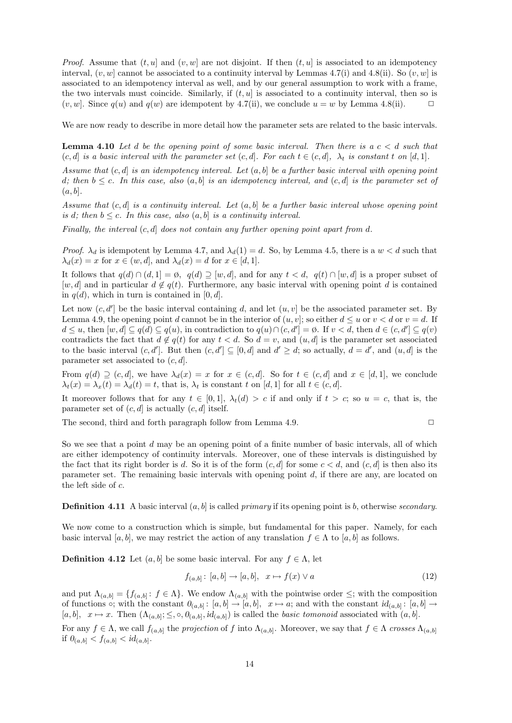*Proof.* Assume that  $(t, u]$  and  $(v, w]$  are not disjoint. If then  $(t, u]$  is associated to an idempotency interval,  $(v, w]$  cannot be associated to a continuity interval by Lemmas 4.7(i) and 4.8(ii). So  $(v, w]$  is associated to an idempotency interval as well, and by our general assumption to work with a frame, the two intervals must coincide. Similarly, if  $(t, u]$  is associated to a continuity interval, then so is  $(v, w]$ . Since  $q(u)$  and  $q(w)$  are idempotent by 4.7(ii), we conclude  $u = w$  by Lemma 4.8(ii).  $\Box$ 

We are now ready to describe in more detail how the parameter sets are related to the basic intervals.

**Lemma 4.10** Let d be the opening point of some basic interval. Then there is a  $c < d$  such that  $(c, d]$  is a basic interval with the parameter set  $(c, d]$ . For each  $t \in (c, d]$ ,  $\lambda_t$  is constant t on [d, 1].

Assume that  $(c, d]$  is an idempotency interval. Let  $(a, b]$  be a further basic interval with opening point d; then  $b \leq c$ . In this case, also  $(a, b]$  is an idempotency interval, and  $(c, d]$  is the parameter set of  $(a, b]$ .

Assume that  $(c, d]$  is a continuity interval. Let  $(a, b]$  be a further basic interval whose opening point is d; then  $b \leq c$ . In this case, also  $(a, b]$  is a continuity interval.

Finally, the interval  $(c, d]$  does not contain any further opening point apart from d.

*Proof.*  $\lambda_d$  is idempotent by Lemma 4.7, and  $\lambda_d(1) = d$ . So, by Lemma 4.5, there is a  $w < d$  such that  $\lambda_d(x) = x$  for  $x \in (w, d]$ , and  $\lambda_d(x) = d$  for  $x \in [d, 1]$ .

It follows that  $q(d) \cap (d, 1] = \emptyset$ ,  $q(d) \supseteq [w, d]$ , and for any  $t < d$ ,  $q(t) \cap [w, d]$  is a proper subset of  $[w, d]$  and in particular  $d \notin q(t)$ . Furthermore, any basic interval with opening point d is contained in  $q(d)$ , which in turn is contained in  $[0, d]$ .

Let now  $(c, d')$  be the basic interval containing d, and let  $(u, v]$  be the associated parameter set. By Lemma 4.9, the opening point d cannot be in the interior of  $(u, v)$ ; so either  $d \leq u$  or  $v \leq d$  or  $v = d$ . If  $d \leq u$ , then  $[w, d] \subseteq q(d) \subseteq q(u)$ , in contradiction to  $q(u) \cap (c, d') = \emptyset$ . If  $v < d$ , then  $d \in (c, d') \subseteq q(v)$ contradicts the fact that  $d \notin q(t)$  for any  $t < d$ . So  $d = v$ , and  $(u, d]$  is the parameter set associated to the basic interval  $(c, d']$ . But then  $(c, d'] \subseteq [0, d]$  and  $d' \geq d$ ; so actually,  $d = d'$ , and  $(u, d]$  is the parameter set associated to  $(c, d]$ .

From  $q(d) \supseteq (c, d]$ , we have  $\lambda_d(x) = x$  for  $x \in (c, d]$ . So for  $t \in (c, d]$  and  $x \in [d, 1]$ , we conclude  $\lambda_t(x) = \lambda_x(t) = \lambda_d(t) = t$ , that is,  $\lambda_t$  is constant t on [d, 1] for all  $t \in (c, d]$ .

It moreover follows that for any  $t \in [0,1]$ ,  $\lambda_t(d) > c$  if and only if  $t > c$ ; so  $u = c$ , that is, the parameter set of  $(c, d]$  is actually  $(c, d]$  itself.

The second, third and forth paragraph follow from Lemma 4.9.  $\Box$ 

So we see that a point  $d$  may be an opening point of a finite number of basic intervals, all of which are either idempotency of continuity intervals. Moreover, one of these intervals is distinguished by the fact that its right border is d. So it is of the form  $(c, d]$  for some  $c < d$ , and  $(c, d]$  is then also its parameter set. The remaining basic intervals with opening point d, if there are any, are located on the left side of c.

**Definition 4.11** A basic interval  $(a, b]$  is called *primary* if its opening point is b, otherwise secondary.

We now come to a construction which is simple, but fundamental for this paper. Namely, for each basic interval [a, b], we may restrict the action of any translation  $f \in \Lambda$  to [a, b] as follows.

**Definition 4.12** Let  $(a, b]$  be some basic interval. For any  $f \in \Lambda$ , let

$$
f_{(a,b]} \colon [a,b] \to [a,b], \quad x \mapsto f(x) \vee a \tag{12}
$$

and put  $\Lambda_{(a,b]} = \{f_{(a,b)}: f \in \Lambda\}$ . We endow  $\Lambda_{(a,b]}$  with the pointwise order  $\leq$ ; with the composition of functions  $\circ$ ; with the constant  $\theta_{(a,b]}: [a,b] \to [a,b], x \mapsto a$ ; and with the constant  $id_{(a,b]}: [a,b] \to$  $[a, b], x \mapsto x.$  Then  $(\Lambda_{(a,b]}; \leq, \circ, 0_{(a,b]}, id_{(a,b)})$  is called the *basic tomonoid* associated with  $(a, b]$ .

For any  $f \in \Lambda$ , we call  $f_{(a,b]}$  the projection of f into  $\Lambda_{(a,b]}$ . Moreover, we say that  $f \in \Lambda$  crosses  $\Lambda_{(a,b]}$ if  $0_{(a,b]} < f_{(a,b]} < id_{(a,b]}$ .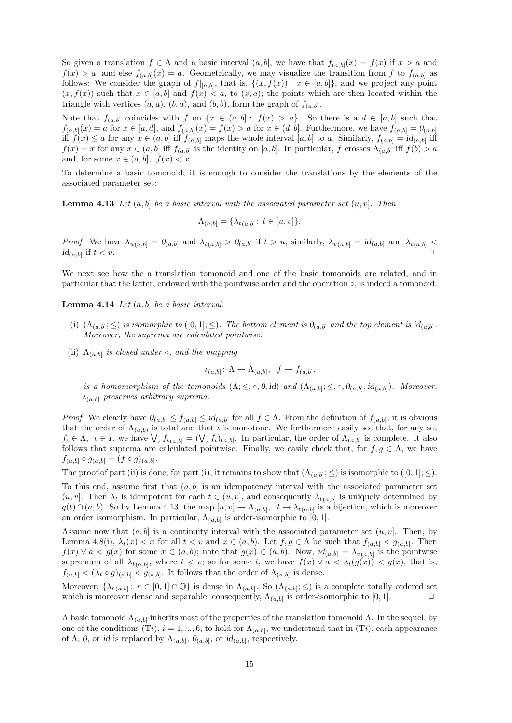So given a translation  $f \in \Lambda$  and a basic interval  $(a, b]$ , we have that  $f_{(a, b]}(x) = f(x)$  if  $x > a$  and  $f(x) > a$ , and else  $f_{(a,b)}(x) = a$ . Geometrically, we may visualize the transition from f to  $f_{(a,b)}$  as follows: We consider the graph of  $f|_{[a,b]}$ , that is,  $\{(x,f(x)) : x \in [a,b]\}$ , and we project any point  $(x, f(x))$  such that  $x \in [a, b]$  and  $f(x) < a$ , to  $(x, a)$ ; the points which are then located within the triangle with vertices  $(a, a)$ ,  $(b, a)$ , and  $(b, b)$ , form the graph of  $f_{(a, b]}$ .

Note that  $f_{(a,b]}$  coincides with f on  $\{x \in (a,b]: f(x) > a\}$ . So there is a  $d \in [a,b]$  such that  $f_{(a,b]}(x) = a$  for  $x \in [a,d]$ , and  $f_{(a,b]}(x) = f(x) > a$  for  $x \in (d,b]$ . Furthermore, we have  $f_{(a,b]} = 0_{(a,b]}$ iff  $f(x) \le a$  for any  $x \in (a, b]$  iff  $f_{(a, b]}$  maps the whole interval  $[a, b]$  to a. Similarly,  $f_{(a, b]} = id_{(a, b]}$  iff  $f(x) = x$  for any  $x \in (a, b]$  iff  $f_{(a, b]}$  is the identity on  $[a, b]$ . In particular, f crosses  $\Lambda_{(a, b]}$  iff  $f(b) > a$ and, for some  $x \in (a, b]$ ,  $f(x) < x$ .

To determine a basic tomonoid, it is enough to consider the translations by the elements of the associated parameter set:

**Lemma 4.13** Let  $(a, b]$  be a basic interval with the associated parameter set  $(u, v)$ . Then

$$
\Lambda_{(a,b]} = \{ \lambda_{t(a,b]} : t \in [u, v] \}.
$$

*Proof.* We have  $\lambda_{u(a,b)} = 0_{(a,b]}$  and  $\lambda_{t(a,b)} > 0_{(a,b]}$  if  $t > u$ ; similarly,  $\lambda_{v(a,b)} = id_{(a,b]}$  and  $\lambda_{t(a,b)} <$  $id_{(a,b]}$  if  $t < v$ . if  $t < v$ .

We next see how the a translation tomonoid and one of the basic tomonoids are related, and in particular that the latter, endowed with the pointwise order and the operation  $\circ$ , is indeed a tomonoid.

**Lemma 4.14** Let  $(a, b]$  be a basic interval.

- (i)  $(\Lambda_{(a,b]}; \leq)$  is isomorphic to  $([0,1]; \leq)$ . The bottom element is  $0_{(a,b]}$  and the top element is  $id_{(a,b]}$ . Moreover, the suprema are calculated pointwise.
- (ii)  $\Lambda_{(a,b]}$  is closed under  $\circ$ , and the mapping

$$
\iota_{(a,b]} \colon \Lambda \to \Lambda_{(a,b]}, \quad f \mapsto f_{(a,b]}.
$$

is a homomorphism of the tomonoids  $(\Lambda; \leq, \circ, 0, id)$  and  $(\Lambda_{(a,b]}; \leq, \circ, 0_{(a,b]}, id_{(a,b]})$ . Moreover,  $\iota_{(a,b]}$  preserves arbitrary suprema.

*Proof.* We clearly have  $0_{(a,b]} \leq f_{(a,b]} \leq id_{(a,b]}$  for all  $f \in \Lambda$ . From the definition of  $f_{(a,b]}$ , it is obvious that the order of  $\Lambda_{(a,b)}$  is total and that  $\iota$  is monotone. We furthermore easily see that, for any set  $f_{\iota} \in \Lambda$ ,  $\iota \in I$ , we have  $\bigvee_{\iota} f_{\iota(a,b]} = (\bigvee_{\iota} f_{\iota})_{(a,b]}$ . In particular, the order of  $\Lambda_{(a,b]}$  is complete. It also follows that suprema are calculated pointwise. Finally, we easily check that, for  $f, g \in \Lambda$ , we have  $f_{(a,b]} \circ g_{(a,b]} = (f \circ g)_{(a,b]}.$ 

The proof of part (ii) is done; for part (i), it remains to show that  $(\Lambda_{(a,b]}; \leq)$  is isomorphic to  $([0,1]; \leq)$ .

To this end, assume first that  $(a, b]$  is an idempotency interval with the associated parameter set  $(u, v]$ . Then  $\lambda_t$  is idempotent for each  $t \in (u, v]$ , and consequently  $\lambda_{t(a, b]}$  is uniquely determined by  $q(t) \cap (a, b)$ . So by Lemma 4.13, the map  $[u, v] \to \Lambda_{(a, b]}, t \mapsto \lambda_{t(a, b]}$  is a bijection, which is moreover an order isomorphism. In particular,  $\Lambda_{(a,b]}$  is order-isomorphic to [0, 1].

Assume now that  $(a, b]$  is a continuity interval with the associated parameter set  $(u, v]$ . Then, by Lemma 4.8(i),  $\lambda_t(x) < x$  for all  $t < v$  and  $x \in (a, b)$ . Let  $f, g \in \Lambda$  be such that  $f_{(a,b]} < g_{(a,b]}$ . Then  $f(x) \vee a < g(x)$  for some  $x \in (a, b)$ ; note that  $g(x) \in (a, b)$ . Now,  $id_{(a,b]} = \lambda_{v(a,b]}$  is the pointwise supremum of all  $\lambda_{t(a,b]}$ , where  $t < v$ ; so for some t, we have  $f(x) \vee a < \lambda_t(g(x)) < g(x)$ , that is,  $f_{(a,b]} < (\lambda_t \circ g)_{(a,b]} < g_{(a,b]}$ . It follows that the order of  $\Lambda_{(a,b]}$  is dense.

Moreover,  $\{\lambda_{r(a,b]}: r \in [0,1] \cap \mathbb{Q}\}\)$  is dense in  $\Lambda_{(a,b]}$ . So  $(\Lambda_{(a,b]}: \leq)$  is a complete totally ordered set which is moreover dense and separable; consequently,  $\Lambda_{(a,b]}$  is order-isomorphic to [0, 1].

A basic tomonoid  $\Lambda_{(a,b]}$  inherits most of the properties of the translation tomonoid  $\Lambda$ . In the sequel, by one of the conditions (Ti),  $i = 1, ..., 6$ , to hold for  $\Lambda_{(a,b]}$ , we understand that in (Ti), each appearance of  $\Lambda$ ,  $\theta$ , or id is replaced by  $\Lambda_{(a,b]}, \theta_{(a,b)},$  or id<sub> $(a,b]$ </sub>, respectively.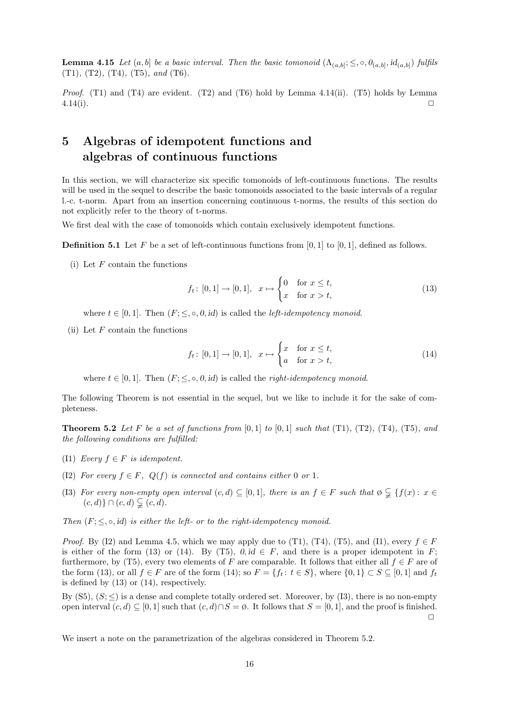**Lemma 4.15** Let  $(a, b]$  be a basic interval. Then the basic tomonoid  $(\Lambda_{(a, b]}; \leq, \circ, 0_{(a, b]}, id_{(a, b)})$  fulfils  $(T1), (T2), (T4), (T5), and (T6).$ 

*Proof.* (T1) and (T4) are evident. (T2) and (T6) hold by Lemma 4.14(ii). (T5) holds by Lemma  $4.14(i).$ 

# 5 Algebras of idempotent functions and algebras of continuous functions

In this section, we will characterize six specific tomonoids of left-continuous functions. The results will be used in the sequel to describe the basic tomonoids associated to the basic intervals of a regular l.-c. t-norm. Apart from an insertion concerning continuous t-norms, the results of this section do not explicitly refer to the theory of t-norms.

We first deal with the case of tomonoids which contain exclusively idempotent functions.

**Definition 5.1** Let F be a set of left-continuous functions from [0, 1] to [0, 1], defined as follows.

(i) Let  $F$  contain the functions

$$
f_t \colon [0,1] \to [0,1], \quad x \mapsto \begin{cases} 0 & \text{for } x \le t, \\ x & \text{for } x > t, \end{cases} \tag{13}
$$

where  $t \in [0, 1]$ . Then  $(F; \leq, \circ, 0, id)$  is called the *left-idempotency monoid*.

(ii) Let  $F$  contain the functions

$$
f_t \colon [0,1] \to [0,1], \quad x \mapsto \begin{cases} x & \text{for } x \le t, \\ a & \text{for } x > t, \end{cases} \tag{14}
$$

where  $t \in [0, 1]$ . Then  $(F; \leq, \circ, 0, id)$  is called the *right-idempotency monoid*.

The following Theorem is not essential in the sequel, but we like to include it for the sake of completeness.

**Theorem 5.2** Let F be a set of functions from  $[0,1]$  to  $[0,1]$  such that  $(T1)$ ,  $(T2)$ ,  $(T4)$ ,  $(T5)$ , and the following conditions are fulfilled:

- (I1) Every  $f \in F$  is idempotent.
- (I2) For every  $f \in F$ ,  $Q(f)$  is connected and contains either 0 or 1.
- (I3) For every non-empty open interval  $(c, d) \subseteq [0, 1]$ , there is an  $f \in F$  such that  $\emptyset \subsetneqq \{f(x): x \in F\}$  $(c, d)$ }  $\cap$   $(c, d) \subsetneq (c, d)$ .

Then  $(F; \leq, \circ, id)$  is either the left- or to the right-idempotency monoid.

*Proof.* By (I2) and Lemma 4.5, which we may apply due to (T1), (T4), (T5), and (I1), every  $f \in F$ is either of the form (13) or (14). By (T5),  $0, id \in F$ , and there is a proper idempotent in F; furthermore, by (T5), every two elements of F are comparable. It follows that either all  $f \in F$  are of the form (13), or all  $f \in F$  are of the form (14); so  $F = \{f_t : t \in S\}$ , where  $\{0,1\} \subset S \subseteq [0,1]$  and  $f_t$ is defined by (13) or (14), respectively.

By  $(S5)$ ,  $(S; \leq)$  is a dense and complete totally ordered set. Moreover, by  $(13)$ , there is no non-empty open interval  $(c, d) \subset [0, 1]$  such that  $(c, d) \cap S = \emptyset$ . It follows that  $S = [0, 1]$ , and the proof is finished.  $\Box$ 

We insert a note on the parametrization of the algebras considered in Theorem 5.2.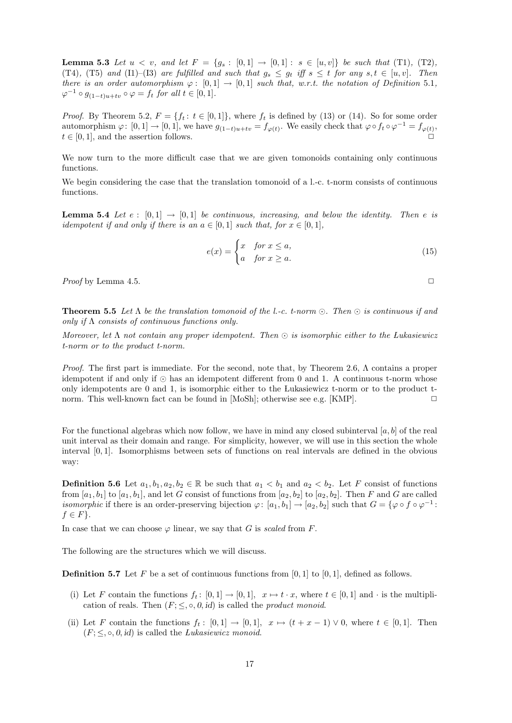**Lemma 5.3** Let  $u < v$ , and let  $F = \{g_s : [0,1] \to [0,1] : s \in [u,v]\}$  be such that (T1), (T2), (T4), (T5) and (I1)–(I3) are fulfilled and such that  $g_s \leq g_t$  iff  $s \leq t$  for any  $s, t \in [u, v]$ . Then there is an order automorphism  $\varphi : [0,1] \to [0,1]$  such that, w.r.t. the notation of Definition 5.1,  $\varphi^{-1} \circ g_{(1-t)u+tv} \circ \varphi = f_t$  for all  $t \in [0,1]$ .

*Proof.* By Theorem 5.2,  $F = \{f_t : t \in [0,1]\}$ , where  $f_t$  is defined by (13) or (14). So for some order automorphism  $\varphi: [0,1] \to [0,1]$ , we have  $g_{(1-t)u+tv} = f_{\varphi(t)}$ . We easily check that  $\varphi \circ f_t \circ \varphi^{-1} = f_{\varphi(t)}$ .  $t \in [0, 1]$ , and the assertion follows.

We now turn to the more difficult case that we are given tomonoids containing only continuous functions.

We begin considering the case that the translation tomonoid of a l.-c. t-norm consists of continuous functions.

**Lemma 5.4** Let  $e : [0,1] \rightarrow [0,1]$  be continuous, increasing, and below the identity. Then e is idempotent if and only if there is an  $a \in [0,1]$  such that, for  $x \in [0,1]$ ,

$$
e(x) = \begin{cases} x & \text{for } x \le a, \\ a & \text{for } x \ge a. \end{cases}
$$
 (15)

*Proof* by Lemma 4.5.  $\Box$ 

**Theorem 5.5** Let  $\Lambda$  be the translation tomonoid of the l.-c. t-norm  $\odot$ . Then  $\odot$  is continuous if and only if  $\Lambda$  consists of continuous functions only.

Moreover, let  $\Lambda$  not contain any proper idempotent. Then  $\odot$  is isomorphic either to the Lukasiewicz t-norm or to the product t-norm.

*Proof.* The first part is immediate. For the second, note that, by Theorem 2.6,  $\Lambda$  contains a proper idempotent if and only if  $\odot$  has an idempotent different from 0 and 1. A continuous t-norm whose only idempotents are 0 and 1, is isomorphic either to the Lukasiewicz t-norm or to the product tnorm. This well-known fact can be found in  $[Mosh]$ ; otherwise see e.g.  $[KMP]$ .

For the functional algebras which now follow, we have in mind any closed subinterval  $[a, b]$  of the real unit interval as their domain and range. For simplicity, however, we will use in this section the whole interval [0, 1]. Isomorphisms between sets of functions on real intervals are defined in the obvious way:

**Definition 5.6** Let  $a_1, b_1, a_2, b_2 \in \mathbb{R}$  be such that  $a_1 < b_1$  and  $a_2 < b_2$ . Let F consist of functions from  $[a_1, b_1]$  to  $[a_1, b_1]$ , and let G consist of functions from  $[a_2, b_2]$  to  $[a_2, b_2]$ . Then F and G are called *isomorphic* if there is an order-preserving bijection  $\varphi: [a_1, b_1] \to [a_2, b_2]$  such that  $G = {\varphi \circ f \circ \varphi^{-1}}$ :  $f \in F$ .

In case that we can choose  $\varphi$  linear, we say that G is scaled from F.

The following are the structures which we will discuss.

**Definition 5.7** Let F be a set of continuous functions from [0, 1] to [0, 1], defined as follows.

- (i) Let F contain the functions  $f_t: [0,1] \to [0,1]$ ,  $x \mapsto t \cdot x$ , where  $t \in [0,1]$  and  $\cdot$  is the multiplication of reals. Then  $(F; \leq, \circ, 0, id)$  is called the *product monoid*.
- (ii) Let F contain the functions  $f_t: [0,1] \to [0,1], x \mapsto (t+x-1) \vee 0$ , where  $t \in [0,1]$ . Then  $(F; \leq, \circ, 0, id)$  is called the *Lukasiewicz monoid*.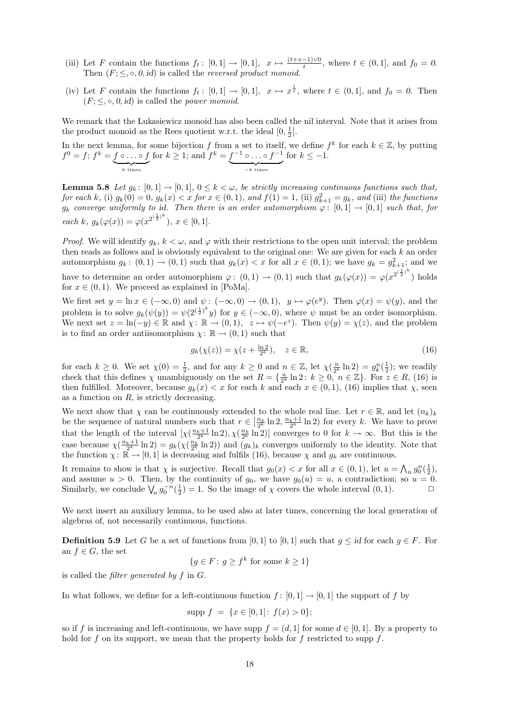- (iii) Let F contain the functions  $f_t: [0,1] \to [0,1]$ ,  $x \mapsto \frac{(t+x-1)\vee 0}{t}$ , where  $t \in (0,1]$ , and  $f_0 = 0$ . Then  $(F; \leq, \circ, 0, id)$  is called the *reversed product monoid*.
- (iv) Let F contain the functions  $f_t: [0,1] \to [0,1], x \mapsto x^{\frac{1}{t}}$ , where  $t \in (0,1]$ , and  $f_0 = 0$ . Then  $(F; \leq, \circ, 0, id)$  is called the *power monoid.*

We remark that the Lukasiewicz monoid has also been called the nil interval. Note that it arises from the product monoid as the Rees quotient w.r.t. the ideal  $[0, \frac{1}{2}]$ .

In the next lemma, for some bijection f from a set to itself, we define  $f^k$  for each  $k \in \mathbb{Z}$ , by putting  $f^0=f;$   $f^k=f\circ\ldots\circ f$  $\overline{k}$  times for  $k \geq 1$ ; and  $f^k = f^{-1} \circ \dots \circ f^{-1}$  $-k$  times for  $k \leq -1$ .

**Lemma 5.8** Let  $g_k: [0,1] \to [0,1], 0 \le k < \omega$ , be strictly increasing continuous functions such that, for each k, (i)  $g_k(0) = 0$ ,  $g_k(x) < x$  for  $x \in (0, 1)$ , and  $f(1) = 1$ , (ii)  $g_{k+1}^2 = g_k$ , and (iii) the functions  $g_k$  converge uniformly to id. Then there is an order automorphism  $\varphi \colon [0,1] \to [0,1]$  such that, for each k,  $g_k(\varphi(x)) = \varphi(x^{2^{(\frac{1}{2})^k}})$ ,  $x \in [0,1]$ .

*Proof.* We will identify  $g_k$ ,  $k < \omega$ , and  $\varphi$  with their restrictions to the open unit interval; the problem then reads as follows and is obviously equivalent to the original one: We are given for each  $k$  an order automorphism  $g_k: (0,1) \to (0,1)$  such that  $g_k(x) < x$  for all  $x \in (0,1)$ ; we have  $g_k = g_{k+1}^2$ ; and we have to determine an order automorphism  $\varphi: (0,1) \to (0,1)$  such that  $g_k(\varphi(x)) = \varphi(x^{2^{(\frac{1}{2})^k}})$  holds for  $x \in (0, 1)$ . We proceed as explained in [PoMa].

We first set  $y = \ln x \in (-\infty, 0)$  and  $\psi: (-\infty, 0) \to (0, 1)$ ,  $y \mapsto \varphi(e^y)$ . Then  $\varphi(x) = \psi(y)$ , and the problem is to solve  $g_k(\psi(y)) = \psi(2^{(\frac{1}{2})^k}y)$  for  $y \in (-\infty, 0)$ , where  $\psi$  must be an order isomorphism. We next set  $z = \ln(-y) \in \mathbb{R}$  and  $\chi: \mathbb{R} \to (0,1)$ ,  $z \mapsto \psi(-e^z)$ . Then  $\psi(y) = \chi(z)$ , and the problem is to find an order antiisomorphism  $\chi: \mathbb{R} \to (0, 1)$  such that

$$
g_k(\chi(z)) = \chi(z + \frac{\ln 2}{2^k}), \quad z \in \mathbb{R},\tag{16}
$$

for each  $k \geq 0$ . We set  $\chi(0) = \frac{1}{2}$ , and for any  $k \geq 0$  and  $n \in \mathbb{Z}$ , let  $\chi(\frac{n}{2^k} \ln 2) = g_k^n(\frac{1}{2})$ ; we readily check that this defines  $\chi$  unambiguously on the set  $R = \{\frac{n}{2^k} \ln 2 : k \geq 0, n \in \mathbb{Z}\}\.$  For  $z \in R$ , (16) is then fulfilled. Moreover, because  $g_k(x) < x$  for each k and each  $x \in (0,1)$ , (16) implies that  $\chi$ , seen as a function on  $R$ , is strictly decreasing.

We next show that  $\chi$  can be continuously extended to the whole real line. Let  $r \in \mathbb{R}$ , and let  $(n_k)_k$ be the sequence of natural numbers such that  $r \in \left[\frac{n_k}{2^k} \ln 2, \frac{n_k+1}{2^k} \ln 2\right)$  for every k. We have to prove that the length of the interval  $[\chi(\frac{n_k+1}{2^k}\ln 2), \chi(\frac{n_k}{2^k}\ln 2)]$  converges to 0 for  $k \to \infty$ . But this is the case because  $\chi(\frac{n_k+1}{2^k}\ln 2) = g_k(\chi(\frac{n_k}{2^k}\ln 2))$  and  $(g_k)_k$  converges uniformly to the identity. Note that the function  $\chi: \mathbb{R} \to [0, 1]$  is decreasing and fulfils (16), because  $\chi$  and  $g_k$  are continuous.

It remains to show is that  $\chi$  is surjective. Recall that  $g_0(x) < x$  for all  $x \in (0,1)$ , let  $u = \bigwedge_n g_0^n(\frac{1}{2})$ , and assume  $u > 0$ . Then, by the continuity of  $g_0$ , we have  $g_0(u) = u$ , a contradiction; so  $u = 0$ .<br>Similarly, we conclude  $\bigvee a_n^{-n}(\frac{1}{2}) = 1$ . So the image of  $\chi$  covers the whole interval  $(0, 1)$ . Similarly, we conclude  $\bigvee_n g_0^{-n}(\frac{1}{2}) = 1$ . So the image of  $\chi$  covers the whole interval  $(0, 1)$ .

We next insert an auxiliary lemma, to be used also at later times, concerning the local generation of algebras of, not necessarily continuous, functions.

**Definition 5.9** Let G be a set of functions from [0, 1] to [0, 1] such that  $g \leq id$  for each  $g \in F$ . For an  $f \in G$ , the set

$$
\{g \in F \colon g \ge f^k \text{ for some } k \ge 1\}
$$

is called the filter generated by f in G.

In what follows, we define for a left-continuous function  $f : [0, 1] \rightarrow [0, 1]$  the support of f by

$$
supp f = \{x \in [0,1]: f(x) > 0\};
$$

so if f is increasing and left-continuous, we have supp  $f = (d, 1]$  for some  $d \in [0, 1]$ . By a property to hold for f on its support, we mean that the property holds for f restricted to supp f.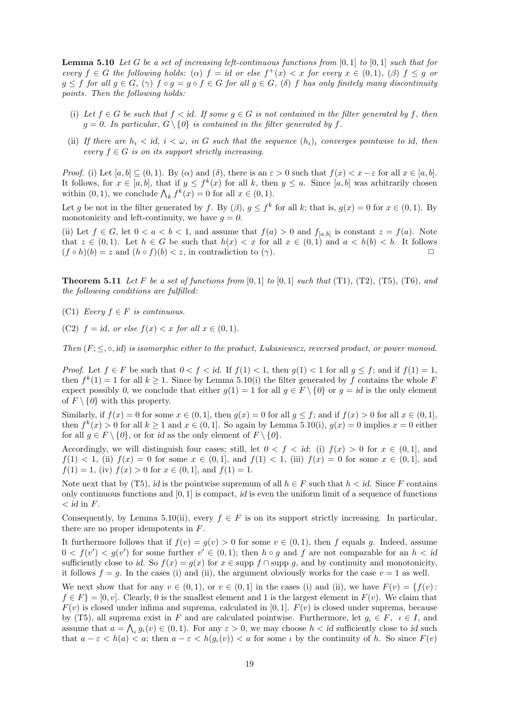**Lemma 5.10** Let G be a set of increasing left-continuous functions from [0,1] to [0,1] such that for every  $f \in G$  the following holds: ( $\alpha$ )  $f = id$  or else  $f^+(x) < x$  for every  $x \in (0,1)$ , ( $\beta$ )  $f \leq g$  or  $g \leq f$  for all  $g \in G$ ,  $(\gamma)$  f  $\circ g = g \circ f \in G$  for all  $g \in G$ ,  $(\delta)$  f has only finitely many discontinuity points. Then the following holds:

- (i) Let  $f \in G$  be such that  $f < id$ . If some  $g \in G$  is not contained in the filter generated by f, then  $g = 0$ . In particular,  $G \setminus \{0\}$  is contained in the filter generated by f.
- (ii) If there are  $h_i < id$ ,  $i < \omega$ , in G such that the sequence  $(h_i)_i$  converges pointwise to id, then every  $f \in G$  is on its support strictly increasing.

Proof. (i) Let  $[a, b] \subseteq (0, 1)$ . By  $(\alpha)$  and  $(\delta)$ , there is an  $\varepsilon > 0$  such that  $f(x) < x - \varepsilon$  for all  $x \in [a, b]$ . It follows, for  $x \in [a, b]$ , that if  $y \leq f^k(x)$  for all k, then  $y \leq a$ . Since  $[a, b]$  was arbitrarily chosen within  $(0, 1)$ , we conclude  $\bigwedge_k f^k(x) = 0$  for all  $x \in (0, 1)$ .

Let g be not in the filter generated by f. By  $(\beta)$ ,  $g \leq f^k$  for all k; that is,  $g(x) = 0$  for  $x \in (0, 1)$ . By monotonicity and left-continuity, we have  $q = 0$ .

(ii) Let  $f \in G$ , let  $0 < a < b < 1$ , and assume that  $f(a) > 0$  and  $f_{[a,b]}$  is constant  $z = f(a)$ . Note that  $z \in (0,1)$ . Let  $h \in G$  be such that  $h(x) < x$  for all  $x \in (0,1)$  and  $a < h(b) < b$ . It follows  $(f \circ h)(b) = z$  and  $(h \circ f)(b) < z$ , in contradiction to  $(\gamma)$ .

**Theorem 5.11** Let F be a set of functions from  $[0,1]$  to  $[0,1]$  such that  $(T1)$ ,  $(T2)$ ,  $(T5)$ ,  $(T6)$ , and the following conditions are fulfilled:

(C1) Every  $f \in F$  is continuous.

(C2)  $f = id$ , or else  $f(x) < x$  for all  $x \in (0, 1)$ .

Then  $(F; \leq, \circ, id)$  is isomorphic either to the product, Lukasiewicz, reversed product, or power monoid.

*Proof.* Let  $f \in F$  be such that  $0 < f <$  id. If  $f(1) < 1$ , then  $g(1) < 1$  for all  $g \le f$ ; and if  $f(1) = 1$ , then  $f^k(1) = 1$  for all  $k \ge 1$ . Since by Lemma 5.10(i) the filter generated by f contains the whole F expect possibly 0, we conclude that either  $g(1) = 1$  for all  $g \in F \setminus \{0\}$  or  $g = id$  is the only element of  $F \setminus \{0\}$  with this property.

Similarly, if  $f(x) = 0$  for some  $x \in (0,1]$ , then  $g(x) = 0$  for all  $g \le f$ ; and if  $f(x) > 0$  for all  $x \in (0,1]$ , then  $f^k(x) > 0$  for all  $k \ge 1$  and  $x \in (0, 1]$ . So again by Lemma 5.10(i),  $g(x) = 0$  implies  $x = 0$  either for all  $q \in F \setminus \{0\}$ , or for id as the only element of  $F \setminus \{0\}$ .

Accordingly, we will distinguish four cases; still, let  $0 < f <$  id: (i)  $f(x) > 0$  for  $x \in (0,1]$ , and  $f(1) < 1$ , (ii)  $f(x) = 0$  for some  $x \in (0,1]$ , and  $f(1) < 1$ , (iii)  $f(x) = 0$  for some  $x \in (0,1]$ , and  $f(1) = 1$ , (iv)  $f(x) > 0$  for  $x \in (0, 1]$ , and  $f(1) = 1$ .

Note next that by (T5), id is the pointwise supremum of all  $h \in F$  such that  $h < id$ . Since F contains only continuous functions and  $[0, 1]$  is compact, id is even the uniform limit of a sequence of functions  $\langle$  *id* in *F*.

Consequently, by Lemma 5.10(ii), every  $f \in F$  is on its support strictly increasing. In particular, there are no proper idempotents in F.

It furthermore follows that if  $f(v) = g(v) > 0$  for some  $v \in (0,1)$ , then f equals g. Indeed, assume  $0 < f(v') < g(v')$  for some further  $v' \in (0,1)$ ; then  $h \circ g$  and f are not comparable for an  $h < id$ sufficiently close to id. So  $f(x) = g(x)$  for  $x \in \text{supp } f \cap \text{supp } g$ , and by continuity and monotonicity, it follows  $f = g$ . In the cases (i) and (ii), the argument obviously works for the case  $v = 1$  as well.

We next show that for any  $v \in (0,1)$ , or  $v \in (0,1]$  in the cases (i) and (ii), we have  $F(v) = \{f(v):$  $f \in F$  = [0, v]. Clearly, 0 is the smallest element and 1 is the largest element in  $F(v)$ . We claim that  $F(v)$  is closed under infima and suprema, calculated in [0, 1].  $F(v)$  is closed under suprema, because by (T5), all suprema exist in F and are calculated pointwise. Furthermore, let  $g_i \in F$ ,  $i \in I$ , and assume that  $a = \bigwedge_{\iota} g_{\iota}(v) \in (0,1)$ . For any  $\varepsilon > 0$ , we may choose  $h < id$  sufficiently close to id such that  $a - \varepsilon < h(a) < a$ ; then  $a - \varepsilon < h(g_{\iota}(v)) < a$  for some  $\iota$  by the continuity of h. So since  $F(v)$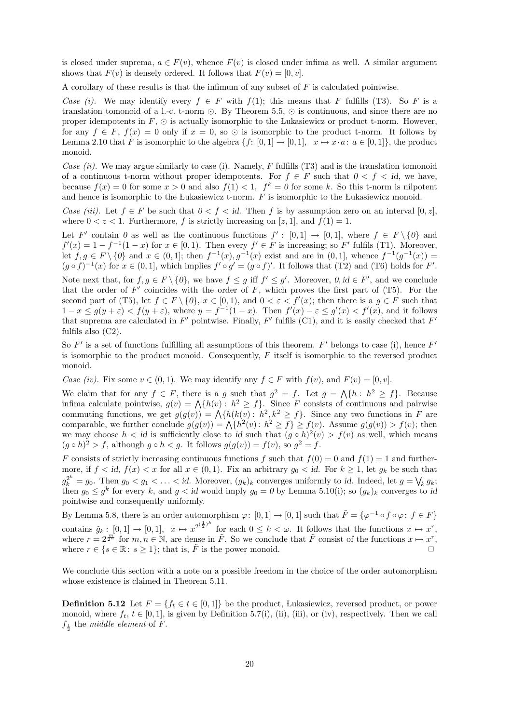is closed under suprema,  $a \in F(v)$ , whence  $F(v)$  is closed under infima as well. A similar argument shows that  $F(v)$  is densely ordered. It follows that  $F(v) = [0, v]$ .

A corollary of these results is that the infimum of any subset of  $F$  is calculated pointwise.

Case (i). We may identify every  $f \in F$  with  $f(1)$ ; this means that F fulfills (T3). So F is a translation tomonoid of a l.-c. t-norm  $\odot$ . By Theorem 5.5,  $\odot$  is continuous, and since there are no proper idempotents in  $F$ ,  $\odot$  is actually isomorphic to the Lukasiewicz or product t-norm. However, for any  $f \in F$ ,  $f(x) = 0$  only if  $x = 0$ , so  $\odot$  is isomorphic to the product t-norm. It follows by Lemma 2.10 that F is isomorphic to the algebra  $\{f: [0, 1] \to [0, 1], x \mapsto x \cdot a: a \in [0, 1]\}$ , the product monoid.

Case (ii). We may argue similarly to case (i). Namely, F fulfills (T3) and is the translation tomonoid of a continuous t-norm without proper idempotents. For  $f \in F$  such that  $0 \le f \le id$ , we have, because  $f(x) = 0$  for some  $x > 0$  and also  $f(1) < 1$ ,  $f<sup>k</sup> = 0$  for some k. So this t-norm is nilpotent and hence is isomorphic to the Lukasiewicz t-norm.  $\vec{F}$  is isomorphic to the Lukasiewicz monoid.

Case (iii). Let  $f \in F$  be such that  $0 < f <$  id. Then f is by assumption zero on an interval  $[0, z]$ , where  $0 < z < 1$ . Furthermore, f is strictly increasing on [z, 1], and  $f(1) = 1$ .

Let F' contain 0 as well as the continuous functions  $f' : [0,1] \rightarrow [0,1]$ , where  $f \in F \setminus \{0\}$  and  $f'(x) = 1 - f^{-1}(1-x)$  for  $x \in [0,1)$ . Then every  $f' \in F$  is increasing; so F' fulfils (T1). Moreover, let  $f, g \in F \setminus \{0\}$  and  $x \in (0, 1]$ ; then  $f^{-1}(x), g^{-1}(x)$  exist and are in  $(0, 1]$ , whence  $f^{-1}(g^{-1}(x)) =$  $(g \circ f)^{-1}(x)$  for  $x \in (0,1]$ , which implies  $f' \circ g' = (g \circ f)'$ . It follows that (T2) and (T6) holds for F'.

Note next that, for  $f, g \in F \setminus \{0\}$ , we have  $f \leq g$  iff  $f' \leq g'$ . Moreover,  $0, id \in F'$ , and we conclude that the order of  $F'$  coincides with the order of  $F$ , which proves the first part of  $(T5)$ . For the second part of (T5), let  $f \in F \setminus \{0\}$ ,  $x \in [0,1)$ , and  $0 < \varepsilon < f'(x)$ ; then there is a  $g \in F$  such that  $1-x \le g(y+\varepsilon) < f(y+\varepsilon)$ , where  $y = f^{-1}(1-x)$ . Then  $f'(x) - \varepsilon \le g'(x) < f'(x)$ , and it follows that suprema are calculated in  $F'$  pointwise. Finally,  $F'$  fulfils (C1), and it is easily checked that  $F'$ fulfils also (C2).

So  $F'$  is a set of functions fulfilling all assumptions of this theorem.  $F'$  belongs to case (i), hence  $F'$ is isomorphic to the product monoid. Consequently,  $F$  itself is isomorphic to the reversed product monoid.

Case (iv). Fix some  $v \in (0,1)$ . We may identify any  $f \in F$  with  $f(v)$ , and  $F(v) = [0, v]$ .

We claim that for any  $f \in F$ , there is a g such that  $g^2 = f$ . Let  $g = \bigwedge \{h : h^2 \geq f\}$ . Because infima calculate pointwise,  $g(v) = \bigwedge \{h(v) : h^2 \geq f\}$ . Since F consists of continuous and pairwise commuting functions, we get  $g(g(v)) = \bigwedge \{h(k(v): h^2, k^2 \geq f\}$ . Since any two functions in F are comparable, we further conclude  $g(g(v)) = \bigwedge \{h^2(v) : h^2 \ge f\} \ge f(v)$ . Assume  $g(g(v)) > f(v)$ ; then we may choose  $h < id$  is sufficiently close to id such that  $(g \circ h)^2(v) > f(v)$  as well, which means  $(g \circ h)^2 > f$ , although  $g \circ h < g$ . It follows  $g(g(v)) = f(v)$ , so  $g^2 = f$ .

F consists of strictly increasing continuous functions f such that  $f(0) = 0$  and  $f(1) = 1$  and furthermore, if  $f < id$ ,  $f(x) < x$  for all  $x \in (0,1)$ . Fix an arbitrary  $g_0 < id$ . For  $k \ge 1$ , let  $g_k$  be such that  $g_k^{2^k} = g_0$ . Then  $g_0 < g_1 < \ldots <$  id. Moreover,  $(g_k)_k$  converges uniformly to id. Indeed, let  $g = \bigvee_k g_k$ ; then  $g_0 \leq g^k$  for every k, and  $g < id$  would imply  $g_0 = 0$  by Lemma 5.10(i); so  $(g_k)_k$  converges to id pointwise and consequently uniformly.

By Lemma 5.8, there is an order automorphism  $\varphi: [0,1] \to [0,1]$  such that  $\tilde{F} = {\varphi^{-1} \circ f \circ \varphi : f \in F}$ contains  $\tilde{g}_k: [0,1] \to [0,1], x \mapsto x^{2^{(\frac{1}{2})^k}}$  for each  $0 \le k < \omega$ . It follows that the functions  $x \mapsto x^r$ , where  $r = 2^{\frac{m}{2^n}}$  for  $m, n \in \mathbb{N}$ , are dense in  $\tilde{F}$ . So we conclude that  $\tilde{F}$  consist of the functions  $x \mapsto x^r$ , where  $r \in \{s \in \mathbb{R}: s \geq 1\}$ ; that is,  $\tilde{F}$  is the power monoid.

We conclude this section with a note on a possible freedom in the choice of the order automorphism whose existence is claimed in Theorem 5.11.

**Definition 5.12** Let  $F = \{f_t \in t \in [0,1]\}$  be the product, Lukasiewicz, reversed product, or power monoid, where  $f_t$ ,  $t \in [0, 1]$ , is given by Definition 5.7(i), (ii), (iii), or (iv), respectively. Then we call  $f_{\frac{1}{2}}$  the *middle element* of F.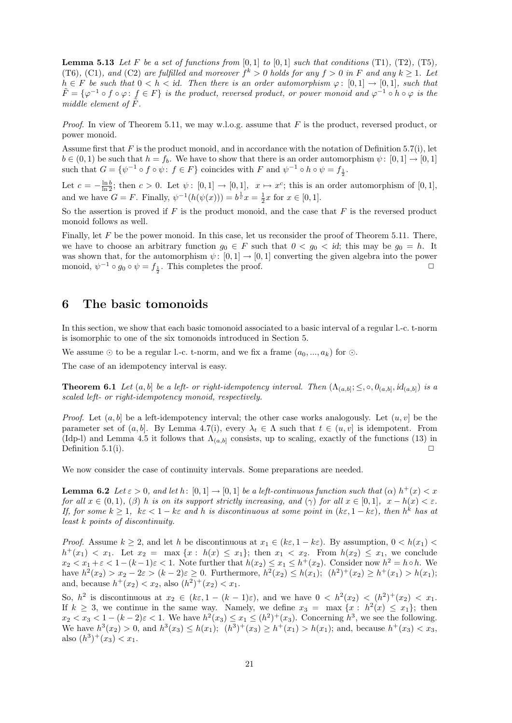**Lemma 5.13** Let F be a set of functions from  $[0,1]$  to  $[0,1]$  such that conditions  $(T1)$ ,  $(T2)$ ,  $(T5)$ , (T6), (C1), and (C2) are fulfilled and moreover  $f^k > 0$  holds for any  $f > 0$  in F and any  $k \ge 1$ . Let  $h \in F$  be such that  $0 < h <$  id. Then there is an order automorphism  $\varphi : [0,1] \to [0,1]$ , such that  $\tilde{F} = \{ \varphi^{-1} \circ f \circ \varphi : f \in F \}$  is the product, reversed product, or power monoid and  $\varphi^{-1} \circ h \circ \varphi$  is the middle element of  $F$ .

*Proof.* In view of Theorem 5.11, we may w.l.o.g. assume that  $F$  is the product, reversed product, or power monoid.

Assume first that  $F$  is the product monoid, and in accordance with the notation of Definition 5.7(i), let  $b \in (0, 1)$  be such that  $h = f_h$ . We have to show that there is an order automorphism  $\psi : [0, 1] \to [0, 1]$ such that  $G = \{ \psi^{-1} \circ f \circ \psi : f \in F \}$  coincides with  $F$  and  $\psi^{-1} \circ h \circ \psi = f_{\frac{1}{2}}$ .

Let  $c = -\frac{\ln b}{\ln 2}$ ; then  $c > 0$ . Let  $\psi: [0, 1] \to [0, 1]$ ,  $x \mapsto x^c$ ; this is an order automorphism of  $[0, 1]$ , and we have  $G = F$ . Finally,  $\psi^{-1}(h(\psi(x))) = b^{\frac{1}{c}}x = \frac{1}{2}x$  for  $x \in [0, 1]$ .

So the assertion is proved if  $F$  is the product monoid, and the case that  $F$  is the reversed product monoid follows as well.

Finally, let  $F$  be the power monoid. In this case, let us reconsider the proof of Theorem 5.11. There, we have to choose an arbitrary function  $g_0 \in F$  such that  $0 < g_0 < id$ ; this may be  $g_0 = h$ . It was shown that, for the automorphism  $\psi : [0,1] \to [0,1]$  converting the given algebra into the power monoid,  $\psi^{-1} \circ g_0 \circ \psi = f_{\frac{1}{2}}$ . This completes the proof.

### 6 The basic tomonoids

In this section, we show that each basic tomonoid associated to a basic interval of a regular l.-c. t-norm is isomorphic to one of the six tomonoids introduced in Section 5.

We assume  $\odot$  to be a regular l.-c. t-norm, and we fix a frame  $(a_0, ..., a_k)$  for  $\odot$ .

The case of an idempotency interval is easy.

**Theorem 6.1** Let  $(a, b]$  be a left- or right-idempotency interval. Then  $(\Lambda_{(a,b]}; \leq, \circ, 0_{(a,b]}, \mathrm{id}_{(a,b)})$  is a scaled left- or right-idempotency monoid, respectively.

*Proof.* Let  $(a, b]$  be a left-idempotency interval; the other case works analogously. Let  $(u, v]$  be the parameter set of  $(a, b]$ . By Lemma 4.7(i), every  $\lambda_t \in \Lambda$  such that  $t \in (u, v]$  is idempotent. From (Idp-l) and Lemma 4.5 it follows that  $\Lambda_{(a,b]}$  consists, up to scaling, exactly of the functions (13) in Definition  $5.1(i)$ .

We now consider the case of continuity intervals. Some preparations are needed.

**Lemma 6.2** Let  $\varepsilon > 0$ , and let  $h: [0,1] \to [0,1]$  be a left-continuous function such that  $(\alpha) h^+(x) < x$ for all  $x \in (0,1)$ ,  $(\beta)$  h is on its support strictly increasing, and  $(\gamma)$  for all  $x \in [0,1]$ ,  $x - h(x) < \varepsilon$ . If, for some  $k \geq 1$ ,  $k\varepsilon < 1 - k\varepsilon$  and h is discontinuous at some point in  $(k\varepsilon, 1 - k\varepsilon)$ , then  $h^k$  has at least k points of discontinuity.

*Proof.* Assume  $k \geq 2$ , and let h be discontinuous at  $x_1 \in (k\varepsilon, 1 - k\varepsilon)$ . By assumption,  $0 < h(x_1)$  $h^+(x_1) < x_1$ . Let  $x_2 = \max\{x : h(x) \le x_1\}$ ; then  $x_1 < x_2$ . From  $h(x_2) \le x_1$ , we conclude  $x_2 < x_1 + \varepsilon < 1 - (k-1)\varepsilon < 1$ . Note further that  $h(x_2) \le x_1 \le h^+(x_2)$ . Consider now  $h^2 = h \circ h$ . We have  $h^2(x_2) > x_2 - 2\varepsilon > (k-2)\varepsilon \ge 0$ . Furthermore,  $h^2(x_2) \le h(x_1)$ ;  $(h^2)^+(x_2) \ge h^+(x_1) > h(x_1)$ ; and, because  $h^+(x_2) < x_2$ , also  $(h^2)^+(x_2) < x_1$ .

So,  $h^2$  is discontinuous at  $x_2 \in (k\varepsilon, 1 - (k-1)\varepsilon)$ , and we have  $0 < h^2(x_2) < (h^2)^+(x_2) < x_1$ . If  $k \geq 3$ , we continue in the same way. Namely, we define  $x_3 = \max\{x : h^2(x) \leq x_1\}$ ; then  $x_2 < x_3 < 1 - (k-2)\varepsilon < 1$ . We have  $h^2(x_3) \le x_1 \le (h^2)^+(x_3)$ . Concerning  $h^3$ , we see the following. We have  $h^{3}(x_{2}) > 0$ , and  $h^{3}(x_{3}) \leq h(x_{1});$   $(h^{3})^{+}(x_{3}) \geq h^{+}(x_{1}) > h(x_{1});$  and, because  $h^{+}(x_{3}) < x_{3}$ , also  $(h^3)^+(x_3) < x_1$ .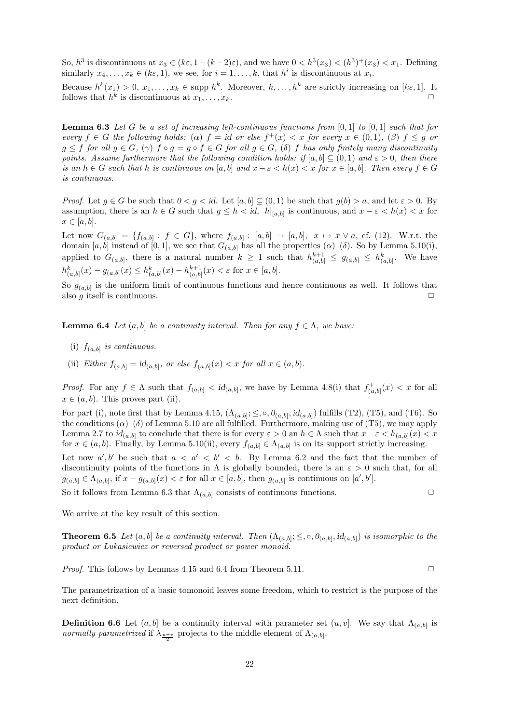So,  $h^3$  is discontinuous at  $x_3 \in (k\varepsilon, 1-(k-2)\varepsilon)$ , and we have  $0 < h^3(x_3) < (h^3)^+(x_3) < x_1$ . Defining similarly  $x_4, \ldots, x_k \in (k\varepsilon, 1)$ , we see, for  $i = 1, \ldots, k$ , that  $h^i$  is discontinuous at  $x_i$ .

Because  $h^k(x_1) > 0, x_1, \ldots, x_k \in \text{supp } h^k$ . Moreover,  $h, \ldots, h^k$  are strictly increasing on  $[k \in 1]$ . It follows that  $h^k$  is discontinuous at  $x_1, \ldots, x_k$ .

**Lemma 6.3** Let G be a set of increasing left-continuous functions from  $[0,1]$  to  $[0,1]$  such that for every  $f \in G$  the following holds: ( $\alpha$ )  $f = id$  or else  $f^+(x) < x$  for every  $x \in (0,1)$ , ( $\beta$ )  $f \leq g$  or  $g \leq f$  for all  $g \in G$ ,  $(\gamma)$  f  $\circ g = g \circ f \in G$  for all  $g \in G$ ,  $(\delta)$  f has only finitely many discontinuity points. Assume furthermore that the following condition holds: if  $[a, b] \subseteq (0, 1)$  and  $\varepsilon > 0$ , then there is an  $h \in G$  such that h is continuous on [a, b] and  $x - \varepsilon < h(x) < x$  for  $x \in [a, b]$ . Then every  $f \in G$ is continuous.

*Proof.* Let  $g \in G$  be such that  $0 < g < id$ . Let  $[a, b] \subseteq (0, 1)$  be such that  $g(b) > a$ , and let  $\varepsilon > 0$ . By assumption, there is an  $h \in G$  such that  $g \leq h < id$ ,  $h|_{[a,b]}$  is continuous, and  $x - \varepsilon < h(x) < x$  for  $x \in [a, b]$ .

Let now  $G_{(a,b]} = \{f_{(a,b]} : f \in G\}$ , where  $f_{(a,b]} : [a,b] \to [a,b], x \mapsto x \vee a$ , cf. (12). W.r.t. the domain [a, b] instead of [0, 1], we see that  $G_{(a,b]}$  has all the properties  $(\alpha)$ –(δ). So by Lemma 5.10(i), applied to  $G_{(a,b]}$ , there is a natural number  $k \geq 1$  such that  $h_{(a,b]}^{k+1} \leq g_{(a,b]} \leq h_{(a,b]}^k$ . We have  $h_{(a,b]}^k(x) - g_{(a,b]}(x) \leq h_{(a,b]}^k(x) - h_{(a,b]}^{k+1}(x) < \varepsilon$  for  $x \in [a,b]$ .

So  $g_{(a,b]}$  is the uniform limit of continuous functions and hence continuous as well. It follows that also g itself is continuous.  $\Box$ 

**Lemma 6.4** Let  $(a, b]$  be a continuity interval. Then for any  $f \in \Lambda$ , we have:

- (i)  $f_{(a,b]}$  is continuous.
- (ii) Either  $f_{(a,b]} = id_{(a,b]}$ , or else  $f_{(a,b]}(x) < x$  for all  $x \in (a,b)$ .

*Proof.* For any  $f \in \Lambda$  such that  $f_{(a,b]} < id_{(a,b]}$ , we have by Lemma 4.8(i) that  $f^+_{(a,b]}(x) < x$  for all  $x \in (a, b)$ . This proves part (ii).

For part (i), note first that by Lemma 4.15,  $(\Lambda_{(a,b]}; \leq, \circ, 0_{(a,b]}, id_{(a,b)})$  fulfills (T2), (T5), and (T6). So the conditions  $(\alpha)$ –(δ) of Lemma 5.10 are all fulfilled. Furthermore, making use of (T5), we may apply Lemma 2.7 to  $id_{(a,b]}$  to conclude that there is for every  $\varepsilon > 0$  an  $h \in \Lambda$  such that  $x-\varepsilon < h_{(a,b]}(x) < x$ for  $x \in (a, b)$ . Finally, by Lemma 5.10(ii), every  $f_{(a,b]} \in \Lambda_{(a,b]}$  is on its support strictly increasing.

Let now  $a', b'$  be such that  $a < a' < b' < b$ . By Lemma 6.2 and the fact that the number of discontinuity points of the functions in  $\Lambda$  is globally bounded, there is an  $\varepsilon > 0$  such that, for all  $g_{(a,b]} \in \Lambda_{(a,b]}$ , if  $x - g_{(a,b]}(x) < \varepsilon$  for all  $x \in [a,b]$ , then  $g_{(a,b]}$  is continuous on  $[a',b']$ .

So it follows from Lemma 6.3 that  $\Lambda_{(a,b]}$  consists of continuous functions.

We arrive at the key result of this section.

**Theorem 6.5** Let  $(a, b]$  be a continuity interval. Then  $(\Lambda_{(a, b]}; \leq, \circ, 0_{(a, b]}, id_{(a, b)})$  is isomorphic to the product or Lukasiewicz or reversed product or power monoid.

*Proof.* This follows by Lemmas 4.15 and 6.4 from Theorem 5.11.  $\Box$ 

The parametrization of a basic tomonoid leaves some freedom, which to restrict is the purpose of the next definition.

**Definition 6.6** Let  $(a, b]$  be a continuity interval with parameter set  $(u, v]$ . We say that  $\Lambda_{(a, b]}$  is normally parametrized if  $\lambda_{\frac{u+v}{2}}$  projects to the middle element of  $\Lambda_{(a,b)}$ .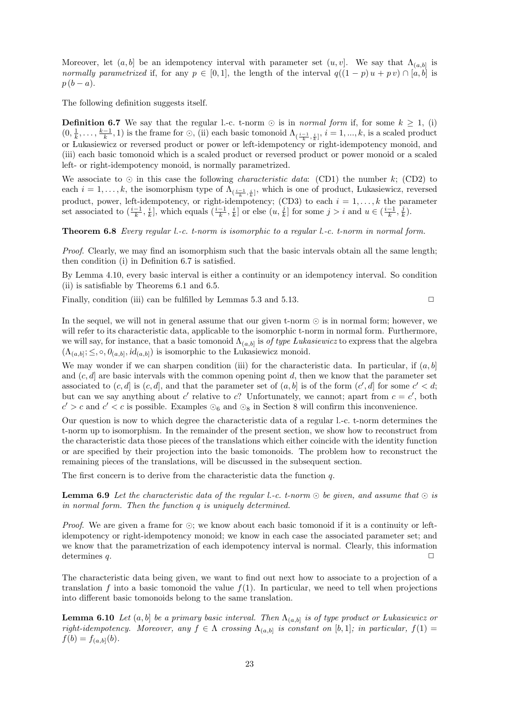Moreover, let  $(a, b]$  be an idempotency interval with parameter set  $(u, v]$ . We say that  $\Lambda_{(a, b]}$  is normally parametrized if, for any  $p \in [0,1]$ , the length of the interval  $q((1-p)u + pv) \cap [a,b]$  is  $p(b-a).$ 

The following definition suggests itself.

**Definition 6.7** We say that the regular 1.-c. t-norm  $\odot$  is in normal form if, for some  $k \geq 1$ , (i)  $(0, \frac{1}{k}, \ldots, \frac{k-1}{k}, 1)$  is the frame for  $\odot$ , (ii) each basic tomonoid  $\Lambda_{(\frac{i-1}{k}, \frac{i}{k}]}, i = 1, \ldots, k$ , is a scaled product or Lukasiewicz or reversed product or power or left-idempotency or right-idempotency monoid, and (iii) each basic tomonoid which is a scaled product or reversed product or power monoid or a scaled left- or right-idempotency monoid, is normally parametrized.

We associate to  $\odot$  in this case the following *characteristic data*: (CD1) the number k; (CD2) to each  $i = 1, \ldots, k$ , the isomorphism type of  $\Lambda_{(\frac{i-1}{k}, \frac{i}{k}]}$ , which is one of product, Lukasiewicz, reversed product, power, left-idempotency, or right-idempotency; (CD3) to each  $i = 1, \ldots, k$  the parameter set associated to  $(\frac{i-1}{k}, \frac{i}{k}]$ , which equals  $(\frac{i-1}{k}, \frac{i}{k}]$  or else  $(u, \frac{j}{k}]$  for some  $j > i$  and  $u \in (\frac{i-1}{k}, \frac{j}{k})$ .

Theorem 6.8 Every regular l.-c. t-norm is isomorphic to a regular l.-c. t-norm in normal form.

Proof. Clearly, we may find an isomorphism such that the basic intervals obtain all the same length; then condition (i) in Definition 6.7 is satisfied.

By Lemma 4.10, every basic interval is either a continuity or an idempotency interval. So condition (ii) is satisfiable by Theorems 6.1 and 6.5.

Finally, condition (iii) can be fulfilled by Lemmas 5.3 and 5.13.  $\Box$ 

In the sequel, we will not in general assume that our given t-norm  $\odot$  is in normal form; however, we will refer to its characteristic data, applicable to the isomorphic t-norm in normal form. Furthermore, we will say, for instance, that a basic tomonoid  $\Lambda_{(a,b]}$  is of type Lukasiewicz to express that the algebra  $(\Lambda_{(a,b]}; \leq, \circ, 0_{(a,b]}, \mathrm{id}_{(a,b)})$  is isomorphic to the Lukasiewicz monoid.

We may wonder if we can sharpen condition (iii) for the characteristic data. In particular, if  $(a, b]$ and  $(c, d]$  are basic intervals with the common opening point d, then we know that the parameter set associated to  $(c, d]$  is  $(c, d]$ , and that the parameter set of  $(a, b]$  is of the form  $(c', d]$  for some  $c' < d$ ; but can we say anything about c' relative to c? Unfortunately, we cannot; apart from  $c = c'$ , both  $c' > c$  and  $c' < c$  is possible. Examples  $\odot_6$  and  $\odot_8$  in Section 8 will confirm this inconvenience.

Our question is now to which degree the characteristic data of a regular l.-c. t-norm determines the t-norm up to isomorphism. In the remainder of the present section, we show how to reconstruct from the characteristic data those pieces of the translations which either coincide with the identity function or are specified by their projection into the basic tomonoids. The problem how to reconstruct the remaining pieces of the translations, will be discussed in the subsequent section.

The first concern is to derive from the characteristic data the function q.

**Lemma 6.9** Let the characteristic data of the regular *l.-c.* t-norm  $\odot$  be given, and assume that  $\odot$  is in normal form. Then the function q is uniquely determined.

*Proof.* We are given a frame for  $\odot$ ; we know about each basic tomonoid if it is a continuity or leftidempotency or right-idempotency monoid; we know in each case the associated parameter set; and we know that the parametrization of each idempotency interval is normal. Clearly, this information determines q.  $\Box$ 

The characteristic data being given, we want to find out next how to associate to a projection of a translation f into a basic tomonoid the value  $f(1)$ . In particular, we need to tell when projections into different basic tomonoids belong to the same translation.

**Lemma 6.10** Let  $(a, b]$  be a primary basic interval. Then  $\Lambda_{(a, b]}$  is of type product or Lukasiewicz or right-idempotency. Moreover, any  $f \in \Lambda$  crossing  $\Lambda_{(a,b]}$  is constant on [b, 1]; in particular,  $f(1) =$  $f(b) = f_{(a,b]}(b).$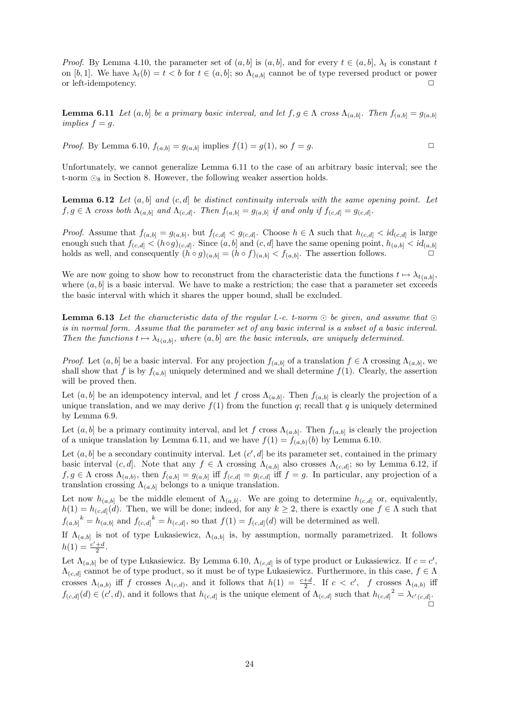*Proof.* By Lemma 4.10, the parameter set of  $(a, b]$  is  $(a, b]$ , and for every  $t \in (a, b]$ ,  $\lambda_t$  is constant t on [b, 1]. We have  $\lambda_t(b) = t < b$  for  $t \in (a, b]$ ; so  $\Lambda_{(a, b]}$  cannot be of type reversed product or power or left-idempotency.

**Lemma 6.11** Let  $(a, b]$  be a primary basic interval, and let  $f, g \in \Lambda$  cross  $\Lambda_{(a,b]}$ . Then  $f_{(a,b]} = g_{(a,b]}$ implies  $f = q$ .

*Proof.* By Lemma 6.10,  $f_{(a,b]} = g_{(a,b]}$  implies  $f(1) = g(1)$ , so  $f = g$ .

Unfortunately, we cannot generalize Lemma 6.11 to the case of an arbitrary basic interval; see the t-norm  $\odot_8$  in Section 8. However, the following weaker assertion holds.

**Lemma 6.12** Let  $(a, b]$  and  $(c, d]$  be distinct continuity intervals with the same opening point. Let  $f, g \in \Lambda$  cross both  $\Lambda_{(a,b]}$  and  $\Lambda_{(c,d]}$ . Then  $f_{(a,b]} = g_{(a,b]}$  if and only if  $f_{(c,d]} = g_{(c,d)}$ .

*Proof.* Assume that  $f_{(a,b]} = g_{(a,b]}$ , but  $f_{(c,d]} < g_{(c,d]}$ . Choose  $h \in \Lambda$  such that  $h_{(c,d]} < id_{(c,d]}$  is large enough such that  $f_{(c,d]} < (h \circ g)_{(c,d]}$ . Since  $(a,b]$  and  $(c,d]$  have the same opening point,  $h_{(a,b]} < id_{(a,b]}$ holds as well, and consequently  $(h \circ g)_{(a,b]} = (h \circ f)_{(a,b]} < f_{(a,b]}$ . The assertion follows.

We are now going to show how to reconstruct from the characteristic data the functions  $t \mapsto \lambda_{t(a,b]}$ , where  $(a, b]$  is a basic interval. We have to make a restriction; the case that a parameter set exceeds the basic interval with which it shares the upper bound, shall be excluded.

**Lemma 6.13** Let the characteristic data of the regular l.-c. t-norm  $\odot$  be given, and assume that  $\odot$ is in normal form. Assume that the parameter set of any basic interval is a subset of a basic interval. Then the functions  $t \mapsto \lambda_{t(a,b]},$  where  $(a,b]$  are the basic intervals, are uniquely determined.

*Proof.* Let  $(a, b]$  be a basic interval. For any projection  $f_{(a, b]}$  of a translation  $f \in \Lambda$  crossing  $\Lambda_{(a, b]}$ , we shall show that f is by  $f_{(a,b]}$  uniquely determined and we shall determine  $f(1)$ . Clearly, the assertion will be proved then.

Let  $(a, b]$  be an idempotency interval, and let f cross  $\Lambda_{(a, b]}$ . Then  $f_{(a, b]}$  is clearly the projection of a unique translation, and we may derive  $f(1)$  from the function q; recall that q is uniquely determined by Lemma 6.9.

Let  $(a, b]$  be a primary continuity interval, and let f cross  $\Lambda_{(a,b]}$ . Then  $f_{(a,b]}$  is clearly the projection of a unique translation by Lemma 6.11, and we have  $f(1) = f_{(a,b)}(b)$  by Lemma 6.10.

Let  $(a, b]$  be a secondary continuity interval. Let  $(c', d]$  be its parameter set, contained in the primary basic interval  $(c, d]$ . Note that any  $f \in \Lambda$  crossing  $\Lambda_{(a, b]}$  also crosses  $\Lambda_{(c, d]}$ ; so by Lemma 6.12, if  $f, g \in \Lambda$  cross  $\Lambda_{(a,b)}$ , then  $f_{(a,b]} = g_{(a,b]}$  iff  $f_{(c,d]} = g_{(c,d]}$  iff  $f = g$ . In particular, any projection of a translation crossing  $\Lambda_{(a,b]}$  belongs to a unique translation.

Let now  $h_{(a,b]}$  be the middle element of  $\Lambda_{(a,b]}$ . We are going to determine  $h_{(c,d]}$  or, equivalently,  $h(1) = h_{(c,d]}(d)$ . Then, we will be done; indeed, for any  $k \geq 2$ , there is exactly one  $f \in \Lambda$  such that  $f_{(a,b]}^{\phantom{a,b]}k} = h_{(a,b]}$  and  $f_{(c,d]}^{\phantom{a,k}} = h_{(c,d]}$ , so that  $f(1) = f_{(c,d]}(d)$  will be determined as well.

If  $\Lambda_{(a,b]}$  is not of type Lukasiewicz,  $\Lambda_{(a,b]}$  is, by assumption, normally parametrized. It follows  $h(1) = \frac{c'+d}{2}.$ 

Let  $\Lambda_{(a,b]}$  be of type Lukasiewicz. By Lemma 6.10,  $\Lambda_{(c,d]}$  is of type product or Lukasiewicz. If  $c = c'$ ,  $\Lambda_{(c,d]}$  cannot be of type product, so it must be of type Lukasiewicz. Furthermore, in this case,  $f \in \Lambda$ crosses  $\Lambda_{(a,b)}$  iff f crosses  $\Lambda_{(c,d)}$ , and it follows that  $h(1) = \frac{c+d}{2}$ . If  $c < c'$ , f crosses  $\Lambda_{(a,b)}$  iff  $f_{(c,d]}(d) \in (c', d)$ , and it follows that  $h_{(c,d]}$  is the unique element of  $\Lambda_{(c,d]}$  such that  $h_{(c,d]}^2 = \lambda_{c'(c,d)}$ .  $\Box$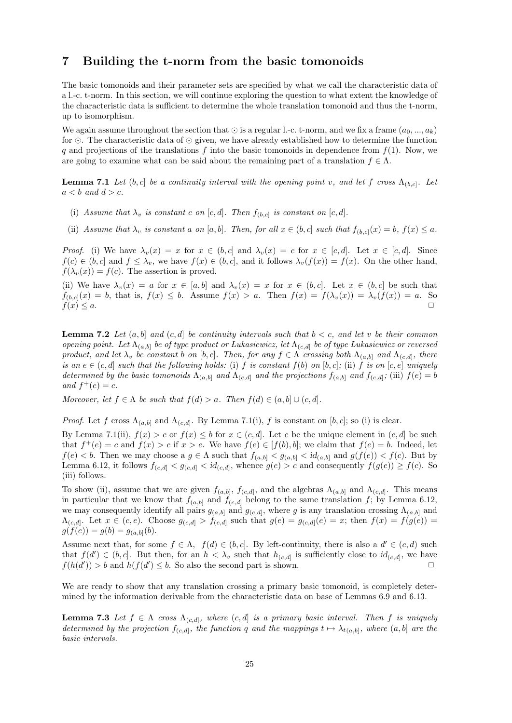## 7 Building the t-norm from the basic tomonoids

The basic tomonoids and their parameter sets are specified by what we call the characteristic data of a l.-c. t-norm. In this section, we will continue exploring the question to what extent the knowledge of the characteristic data is sufficient to determine the whole translation tomonoid and thus the t-norm, up to isomorphism.

We again assume throughout the section that  $\odot$  is a regular l.-c. t-norm, and we fix a frame  $(a_0, ..., a_k)$ for  $\odot$ . The characteristic data of  $\odot$  given, we have already established how to determine the function q and projections of the translations f into the basic tomonoids in dependence from  $f(1)$ . Now, we are going to examine what can be said about the remaining part of a translation  $f \in \Lambda$ .

**Lemma 7.1** Let  $(b, c]$  be a continuity interval with the opening point v, and let f cross  $\Lambda_{(b,c]}$ . Let  $a < b$  and  $d > c$ .

- (i) Assume that  $\lambda_v$  is constant c on [c,d]. Then  $f_{(b,c]}$  is constant on [c,d].
- (ii) Assume that  $\lambda_v$  is constant a on [a, b]. Then, for all  $x \in (b, c]$  such that  $f_{(b, c]}(x) = b$ ,  $f(x) \leq a$ .

*Proof.* (i) We have  $\lambda_v(x) = x$  for  $x \in (b, c]$  and  $\lambda_v(x) = c$  for  $x \in [c, d]$ . Let  $x \in [c, d]$ . Since  $f(c) \in (b, c]$  and  $f \leq \lambda_v$ , we have  $f(x) \in (b, c]$ , and it follows  $\lambda_v(f(x)) = f(x)$ . On the other hand,  $f(\lambda_v(x)) = f(c)$ . The assertion is proved.

(ii) We have  $\lambda_v(x) = a$  for  $x \in [a, b]$  and  $\lambda_v(x) = x$  for  $x \in (b, c]$ . Let  $x \in (b, c]$  be such that  $f_{(b,c]}(x) = b$ , that is,  $f(x) \leq b$ . Assume  $f(x) > a$ . Then  $f(x) = f(\lambda_v(x)) = \lambda_v(f(x)) = a$ . So  $f(x) \leq a.$ 

**Lemma 7.2** Let  $(a, b]$  and  $(c, d]$  be continuity intervals such that  $b < c$ , and let v be their common opening point. Let  $\Lambda_{(a,b]}$  be of type product or Lukasiewicz, let  $\Lambda_{(c,d]}$  be of type Lukasiewicz or reversed product, and let  $\lambda_v$  be constant b on [b, c]. Then, for any  $f \in \Lambda$  crossing both  $\Lambda_{(a,b]}$  and  $\Lambda_{(c,d]}$ , there is an  $e \in (c, d]$  such that the following holds: (i) f is constant  $f(b)$  on  $[b, c]$ ; (ii) f is on  $[c, e]$  uniquely determined by the basic tomonoids  $\Lambda_{(a,b]}$  and  $\Lambda_{(c,d]}$  and the projections  $f_{(a,b]}$  and  $f_{(c,d]}$ ; (iii)  $f(e) = b$ and  $f^+(e) = c$ .

Moreover, let  $f \in \Lambda$  be such that  $f(d) > a$ . Then  $f(d) \in (a, b] \cup (c, d]$ .

*Proof.* Let f cross  $\Lambda_{(a,b]}$  and  $\Lambda_{(c,d]}$ . By Lemma 7.1(i), f is constant on [b, c]; so (i) is clear.

By Lemma 7.1(ii),  $f(x) > c$  or  $f(x) \leq b$  for  $x \in (c, d]$ . Let e be the unique element in  $(c, d]$  be such that  $f^+(e) = c$  and  $f(x) > c$  if  $x > e$ . We have  $f(e) \in [f(b), b]$ ; we claim that  $f(e) = b$ . Indeed, let  $f(e) < b$ . Then we may choose a  $g \in \Lambda$  such that  $f_{(a,b]} < g_{(a,b]} < id_{(a,b]}$  and  $g(f(e)) < f(c)$ . But by Lemma 6.12, it follows  $f_{(c,d]} < g_{(c,d]} < id_{(c,d]}$ , whence  $g(e) > c$  and consequently  $f(g(e)) \geq f(c)$ . So (iii) follows.

To show (ii), assume that we are given  $f_{(a,b]}$ ,  $f_{(c,d]}$ , and the algebras  $\Lambda_{(a,b]}$  and  $\Lambda_{(c,d]}$ . This means in particular that we know that  $f_{(a,b]}$  and  $f_{(c,d]}$  belong to the same translation f; by Lemma 6.12, we may consequently identify all pairs  $g_{(a,b]}$  and  $g_{(c,d]}$ , where g is any translation crossing  $\Lambda_{(a,b]}$  and  $\Lambda_{(c,d]}$ . Let  $x \in (c,e)$ . Choose  $g_{(c,d]} > f_{(c,d)}$  such that  $g(e) = g_{(c,d]}(e) = x$ ; then  $f(x) = f(g(e)) = x$  $g(f(e)) = g(b) = g_{(a,b]}(b).$ 

Assume next that, for some  $f \in \Lambda$ ,  $f(d) \in (b, c]$ . By left-continuity, there is also a  $d' \in (c, d)$  such that  $f(d') \in (b, c]$ . But then, for an  $h < \lambda_v$  such that  $h_{(c,d]}$  is sufficiently close to  $id_{(c,d]}$ , we have  $f(h(d')) > b$  and  $h(f(d') \leq b$ . So also the second part is shown.

We are ready to show that any translation crossing a primary basic tomonoid, is completely determined by the information derivable from the characteristic data on base of Lemmas 6.9 and 6.13.

**Lemma 7.3** Let  $f \in \Lambda$  cross  $\Lambda_{(c,d]}$ , where  $(c,d]$  is a primary basic interval. Then f is uniquely determined by the projection  $f_{(c,d)}$ , the function q and the mappings  $t \mapsto \lambda_{t(a,b)}$ , where  $(a,b]$  are the basic intervals.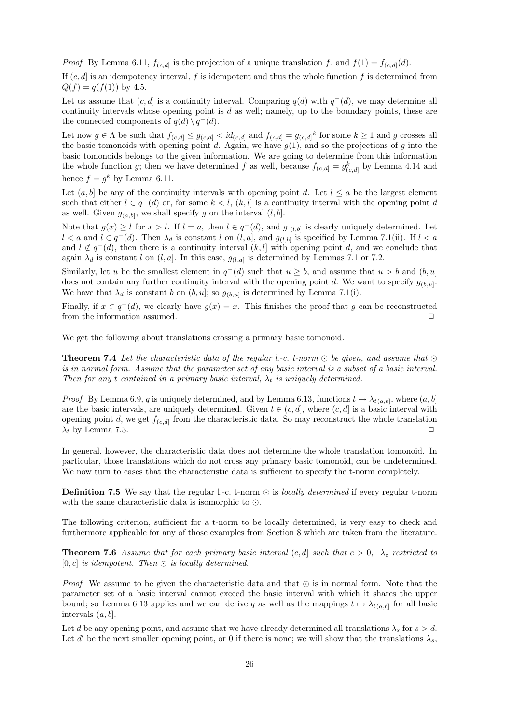*Proof.* By Lemma 6.11,  $f_{(c,d]}$  is the projection of a unique translation f, and  $f(1) = f_{(c,d]}(d)$ .

If  $(c, d]$  is an idempotency interval, f is idempotent and thus the whole function f is determined from  $Q(f) = q(f(1))$  by 4.5.

Let us assume that  $(c, d]$  is a continuity interval. Comparing  $q(d)$  with  $q<sup>-</sup>(d)$ , we may determine all continuity intervals whose opening point is d as well; namely, up to the boundary points, these are the connected components of  $q(d) \setminus q^-(d)$ .

Let now  $g \in \Lambda$  be such that  $f_{(c,d]} \leq g_{(c,d]} < \mathrm{id}_{(c,d]}$  and  $f_{(c,d]} = g_{(c,d]}^k$  for some  $k \geq 1$  and g crosses all the basic tomonoids with opening point d. Again, we have  $g(1)$ , and so the projections of g into the basic tomonoids belongs to the given information. We are going to determine from this information the whole function g; then we have determined f as well, because  $f_{(c,d]} = g_{(c,d]}^k$  by Lemma 4.14 and hence  $f = g^k$  by Lemma 6.11.

Let  $(a, b]$  be any of the continuity intervals with opening point d. Let  $l \leq a$  be the largest element such that either  $l \in q^{-}(d)$  or, for some  $k < l$ ,  $(k, l]$  is a continuity interval with the opening point d as well. Given  $g_{(a,b]}$ , we shall specify g on the interval  $(l, b]$ .

Note that  $g(x) \geq l$  for  $x > l$ . If  $l = a$ , then  $l \in q^{-}(d)$ , and  $g|_{(l,b]}$  is clearly uniquely determined. Let  $l < a$  and  $l \in q^{-}(d)$ . Then  $\lambda_d$  is constant l on  $(l, a]$ , and  $g_{(l, b]}$  is specified by Lemma 7.1(ii). If  $l < a$ and  $l \notin q^{-}(d)$ , then there is a continuity interval  $(k, l]$  with opening point d, and we conclude that again  $\lambda_d$  is constant l on  $(l, a]$ . In this case,  $g_{(l, a]}$  is determined by Lemmas 7.1 or 7.2.

Similarly, let u be the smallest element in  $q^-(d)$  such that  $u \geq b$ , and assume that  $u > b$  and  $(b, u]$ does not contain any further continuity interval with the opening point d. We want to specify  $g_{(b,u]}$ . We have that  $\lambda_d$  is constant b on  $(b, u]$ ; so  $g_{(b, u]}$  is determined by Lemma 7.1(i).

Finally, if  $x \in q^{-1}(d)$ , we clearly have  $g(x) = x$ . This finishes the proof that g can be reconstructed from the information assumed.  $\Box$ 

We get the following about translations crossing a primary basic tomonoid.

**Theorem 7.4** Let the characteristic data of the regular l.-c. t-norm  $\odot$  be given, and assume that  $\odot$ is in normal form. Assume that the parameter set of any basic interval is a subset of a basic interval. Then for any t contained in a primary basic interval,  $\lambda_t$  is uniquely determined.

*Proof.* By Lemma 6.9, q is uniquely determined, and by Lemma 6.13, functions  $t \mapsto \lambda_{t(a,b]}$ , where  $(a, b]$ are the basic intervals, are uniquely determined. Given  $t \in (c, d]$ , where  $(c, d]$  is a basic interval with opening point d, we get  $f_{(c,d]}$  from the characteristic data. So may reconstruct the whole translation  $\lambda_t$  by Lemma 7.3.  $\Box$ 

In general, however, the characteristic data does not determine the whole translation tomonoid. In particular, those translations which do not cross any primary basic tomonoid, can be undetermined. We now turn to cases that the characteristic data is sufficient to specify the t-norm completely.

**Definition 7.5** We say that the regular 1.-c. t-norm  $\odot$  is locally determined if every regular t-norm with the same characteristic data is isomorphic to  $\odot$ .

The following criterion, sufficient for a t-norm to be locally determined, is very easy to check and furthermore applicable for any of those examples from Section 8 which are taken from the literature.

**Theorem 7.6** Assume that for each primary basic interval  $(c, d]$  such that  $c > 0$ ,  $\lambda_c$  restricted to  $[0, c]$  is idempotent. Then  $\odot$  is locally determined.

*Proof.* We assume to be given the characteristic data and that  $\odot$  is in normal form. Note that the parameter set of a basic interval cannot exceed the basic interval with which it shares the upper bound; so Lemma 6.13 applies and we can derive q as well as the mappings  $t \mapsto \lambda_{t(a,b)}$  for all basic intervals  $(a, b]$ .

Let d be any opening point, and assume that we have already determined all translations  $\lambda_s$  for  $s > d$ . Let d' be the next smaller opening point, or 0 if there is none; we will show that the translations  $\lambda_s$ ,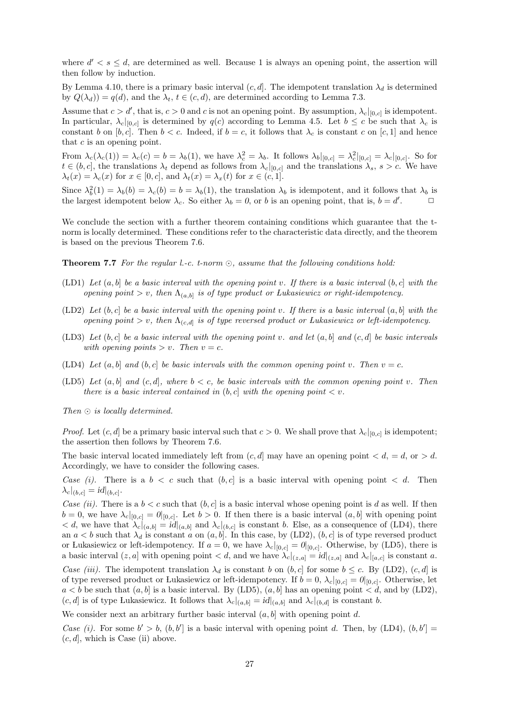where  $d' < s \leq d$ , are determined as well. Because 1 is always an opening point, the assertion will then follow by induction.

By Lemma 4.10, there is a primary basic interval  $(c, d]$ . The idempotent translation  $\lambda_d$  is determined by  $Q(\lambda_d) = q(d)$ , and the  $\lambda_t, t \in (c, d)$ , are determined according to Lemma 7.3.

Assume that  $c > d'$ , that is,  $c > 0$  and c is not an opening point. By assumption,  $\lambda_c|_{[0,c]}$  is idempotent. In particular,  $\lambda_c|_{[0,c]}$  is determined by  $q(c)$  according to Lemma 4.5. Let  $b \leq c$  be such that  $\lambda_c$  is constant b on  $[b, c]$ . Then  $b < c$ . Indeed, if  $b = c$ , it follows that  $\lambda_c$  is constant c on  $[c, 1]$  and hence that c is an opening point.

From  $\lambda_c(\lambda_c(1)) = \lambda_c(c) = b = \lambda_b(1)$ , we have  $\lambda_c^2 = \lambda_b$ . It follows  $\lambda_b|_{[0,c]} = \lambda_c^2|_{[0,c]} = \lambda_c|_{[0,c]}$ . So for  $t \in (b, c]$ , the translations  $\lambda_t$  depend as follows from  $\lambda_c|_{[0,c]}$  and the translations  $\lambda_s$ ,  $s > c$ . We have  $\lambda_t(x) = \lambda_c(x)$  for  $x \in [0, c]$ , and  $\lambda_t(x) = \lambda_x(t)$  for  $x \in (c, 1]$ .

Since  $\lambda_b^2(1) = \lambda_b(b) = \lambda_c(b) = b = \lambda_b(1)$ , the translation  $\lambda_b$  is idempotent, and it follows that  $\lambda_b$  is the largest idempotent below  $\lambda_c$ . So either  $\lambda_b = 0$ , or b is an opening point, that is,  $b = d'$  $\Box$ 

We conclude the section with a further theorem containing conditions which guarantee that the tnorm is locally determined. These conditions refer to the characteristic data directly, and the theorem is based on the previous Theorem 7.6.

**Theorem 7.7** For the regular *l.-c.* t-norm  $\odot$ , assume that the following conditions hold:

- (LD1) Let  $(a, b]$  be a basic interval with the opening point v. If there is a basic interval  $(b, c]$  with the opening point  $> v$ , then  $\Lambda_{(a,b]}$  is of type product or Lukasiewicz or right-idempotency.
- (LD2) Let  $(b, c]$  be a basic interval with the opening point v. If there is a basic interval  $(a, b]$  with the opening point  $> v$ , then  $\Lambda_{(c,d]}$  is of type reversed product or Lukasiewicz or left-idempotency.
- (LD3) Let  $(b, c]$  be a basic interval with the opening point v. and let  $(a, b]$  and  $(c, d]$  be basic intervals with opening points  $> v$ . Then  $v = c$ .
- (LD4) Let  $(a, b]$  and  $(b, c]$  be basic intervals with the common opening point v. Then  $v = c$ .
- (LD5) Let  $(a, b]$  and  $(c, d]$ , where  $b < c$ , be basic intervals with the common opening point v. Then there is a basic interval contained in  $(b, c]$  with the opening point  $\lt v$ .

Then  $\odot$  is locally determined.

*Proof.* Let  $(c, d]$  be a primary basic interval such that  $c > 0$ . We shall prove that  $\lambda_c|_{[0, c]}$  is idempotent; the assertion then follows by Theorem 7.6.

The basic interval located immediately left from  $(c, d]$  may have an opening point  $\lt d$ ,  $= d$ , or  $> d$ . Accordingly, we have to consider the following cases.

Case (i). There is a  $b < c$  such that  $(b, c]$  is a basic interval with opening point  $\langle d$ . Then  $\lambda_c|_{(b,c]} = id|_{(b,c]}$ .

Case (ii). There is a  $b < c$  such that  $(b, c]$  is a basic interval whose opening point is d as well. If then  $b = 0$ , we have  $\lambda_c|_{[0,c]} = 0|_{[0,c]}$ . Let  $b > 0$ . If then there is a basic interval  $(a, b]$  with opening point  $d_0 < d$ , we have that  $\lambda_c|_{(a,b]} = id|_{(a,b]}$  and  $\lambda_c|_{(b,c]}$  is constant b. Else, as a consequence of (LD4), there an  $a < b$  such that  $\lambda_d$  is constant a on  $(a, b]$ . In this case, by (LD2),  $(b, c]$  is of type reversed product or Lukasiewicz or left-idempotency. If  $a = 0$ , we have  $\lambda_c|_{[0,c]} = 0|_{[0,c]}$ . Otherwise, by (LD5), there is a basic interval  $(z, a]$  with opening point  $\langle d \rangle$ , and we have  $\lambda_c|_{(z,a]} = id|_{(z,a]}$  and  $\lambda_c|_{[a,c]}$  is constant a.

Case (iii). The idempotent translation  $\lambda_d$  is constant b on  $(b, c]$  for some  $b \leq c$ . By (LD2),  $(c, d]$  is of type reversed product or Lukasiewicz or left-idempotency. If  $b = 0$ ,  $\lambda_c|_{[0,c]} = 0|_{[0,c]}$ . Otherwise, let  $a < b$  be such that  $(a, b]$  is a basic interval. By (LD5),  $(a, b]$  has an opening point  $< d$ , and by (LD2),  $(c, d]$  is of type Lukasiewicz. It follows that  $\lambda_c|_{(a,b]} = id|_{(a,b]}$  and  $\lambda_c|_{(b,d]}$  is constant b.

We consider next an arbitrary further basic interval  $(a, b]$  with opening point d.

Case (i). For some  $b' > b$ ,  $(b, b']$  is a basic interval with opening point d. Then, by (LD4),  $(b, b'] =$  $(c, d]$ , which is Case (ii) above.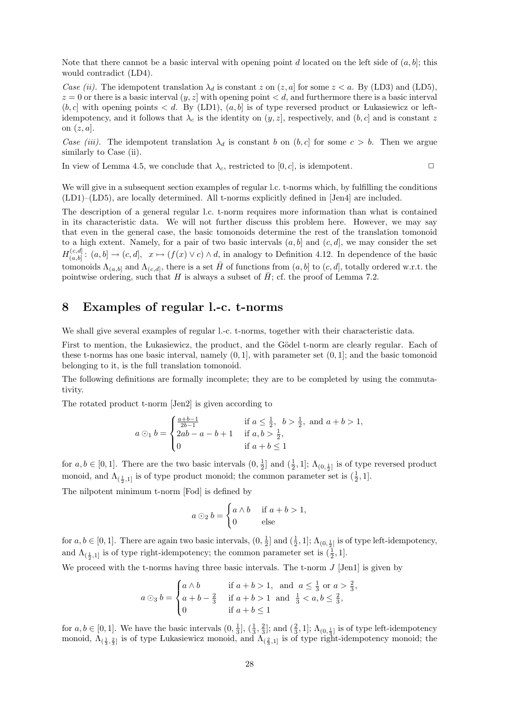Note that there cannot be a basic interval with opening point d located on the left side of  $(a, b]$ ; this would contradict (LD4).

Case (ii). The idempotent translation  $\lambda_d$  is constant z on  $(z, a]$  for some  $z < a$ . By (LD3) and (LD5),  $z = 0$  or there is a basic interval  $(y, z]$  with opening point  $\lt d$ , and furthermore there is a basic interval  $(b, c]$  with opening points  $\langle d, d \rangle$  By (LD1),  $(a, b]$  is of type reversed product or Lukasiewicz or leftidempotency, and it follows that  $\lambda_c$  is the identity on  $(y, z)$ , respectively, and  $(b, c]$  and is constant z on  $(z, a]$ .

Case (iii). The idempotent translation  $\lambda_d$  is constant b on  $(b, c]$  for some  $c > b$ . Then we argue similarly to Case (ii).

In view of Lemma 4.5, we conclude that  $\lambda_c$ , restricted to [0, c], is idempotent.

We will give in a subsequent section examples of regular l.c. t-norms which, by fulfilling the conditions (LD1)–(LD5), are locally determined. All t-norms explicitly defined in [Jen4] are included.

The description of a general regular l.c. t-norm requires more information than what is contained in its characteristic data. We will not further discuss this problem here. However, we may say that even in the general case, the basic tomonoids determine the rest of the translation tomonoid to a high extent. Namely, for a pair of two basic intervals  $(a, b]$  and  $(c, d]$ , we may consider the set  $H_{(a\;b]}^{(c,d]}$  $(a,b]$ :  $(a,b] \rightarrow (c,d], x \mapsto (f(x) \vee c) \wedge d$ , in analogy to Definition 4.12. In dependence of the basic tomonoids  $\Lambda_{(a,b]}$  and  $\Lambda_{(c,d]}$ , there is a set  $\bar{H}$  of functions from  $(a,b]$  to  $(c,d]$ , totally ordered w.r.t. the pointwise ordering, such that H is always a subset of  $\bar{H}$ ; cf. the proof of Lemma 7.2.

### 8 Examples of regular l.-c. t-norms

We shall give several examples of regular l.-c. t-norms, together with their characteristic data.

First to mention, the Lukasiewicz, the product, and the Gödel t-norm are clearly regular. Each of these t-norms has one basic interval, namely  $(0, 1]$ , with parameter set  $(0, 1]$ ; and the basic tomonoid belonging to it, is the full translation tomonoid.

The following definitions are formally incomplete; they are to be completed by using the commutativity.

The rotated product t-norm [Jen2] is given according to

$$
a \odot_1 b = \begin{cases} \frac{a+b-1}{2b-1} & \text{if } a \le \frac{1}{2}, \ b > \frac{1}{2}, \text{ and } a+b > 1, \\ 2ab - a - b + 1 & \text{if } a, b > \frac{1}{2}, \\ 0 & \text{if } a+b \le 1 \end{cases}
$$

for  $a, b \in [0, 1]$ . There are the two basic intervals  $(0, \frac{1}{2}]$  and  $(\frac{1}{2}, 1]$ ;  $\Lambda_{(0, \frac{1}{2}]}$  is of type reversed product monoid, and  $\Lambda_{(\frac{1}{2},1]}$  is of type product monoid; the common parameter set is  $(\frac{1}{2},1]$ .

The nilpotent minimum t-norm [Fod] is defined by

$$
a \odot_2 b = \begin{cases} a \wedge b & \text{if } a + b > 1, \\ 0 & \text{else} \end{cases}
$$

for  $a, b \in [0, 1]$ . There are again two basic intervals,  $(0, \frac{1}{2}]$  and  $(\frac{1}{2}, 1]$ ;  $\Lambda_{(0, \frac{1}{2}]}$  is of type left-idempotency, and  $\Lambda_{(\frac{1}{2},1]}$  is of type right-idempotency; the common parameter set is  $(\frac{1}{2},1]$ .

We proceed with the t-norms having three basic intervals. The t-norm  $J$  [Jen1] is given by

$$
a \odot_3 b = \begin{cases} a \wedge b & \text{if } a+b > 1, \text{ and } a \leq \frac{1}{3} \text{ or } a > \frac{2}{3}, \\ a+b-\frac{2}{3} & \text{if } a+b > 1 \text{ and } \frac{1}{3} < a,b \leq \frac{2}{3}, \\ 0 & \text{if } a+b \leq 1 \end{cases}
$$

for  $a, b \in [0, 1]$ . We have the basic intervals  $(0, \frac{1}{3}]$ ,  $(\frac{1}{3}, \frac{2}{3}]$ ; and  $(\frac{2}{3}, 1]$ ;  $\Lambda_{(0, \frac{1}{3}]}$  is of type left-idempotency monoid,  $\Lambda_{(\frac{1}{3}, \frac{2}{3}]}$  is of type Lukasiewicz monoid, and  $\Lambda_{(\frac{2}{3}, 1]}$  is of type right-idempotency monoid; the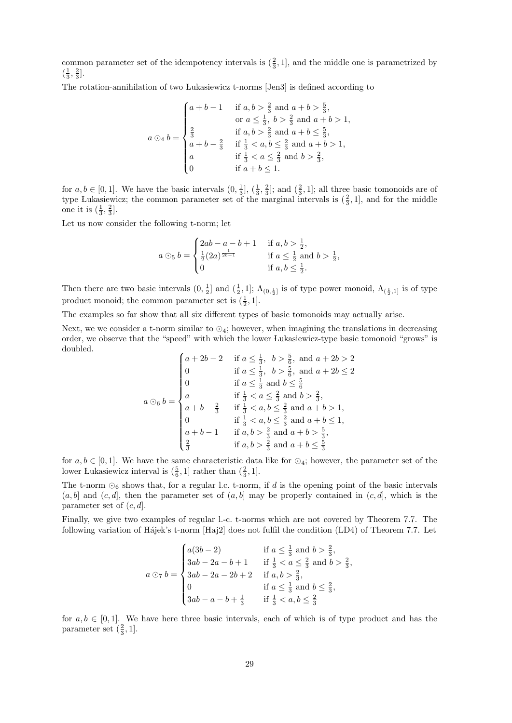common parameter set of the idempotency intervals is  $(\frac{2}{3}, 1]$ , and the middle one is parametrized by  $(\frac{1}{3}, \frac{2}{3}].$ 

The rotation-annihilation of two Lukasiewicz t-norms [Jen3] is defined according to

$$
a \odot_4 b = \begin{cases} a+b-1 & \text{if } a,b > \frac{2}{3} \text{ and } a+b > \frac{5}{3}, \\ & \text{or } a \le \frac{1}{3}, \ b > \frac{2}{3} \text{ and } a+b > 1, \\ \frac{2}{3} & \text{if } a,b > \frac{2}{3} \text{ and } a+b \le \frac{5}{3}, \\ a+b-\frac{2}{3} & \text{if } \frac{1}{3} < a,b \le \frac{2}{3} \text{ and } a+b > 1, \\ a & \text{if } \frac{1}{3} < a \le \frac{2}{3} \text{ and } b > \frac{2}{3}, \\ 0 & \text{if } a+b \le 1. \end{cases}
$$

for  $a, b \in [0, 1]$ . We have the basic intervals  $(0, \frac{1}{3}], (\frac{1}{3}, \frac{2}{3}]$ ; and  $(\frac{2}{3}, 1]$ ; all three basic tomonoids are of type Lukasiewicz; the common parameter set of the marginal intervals is  $(\frac{2}{3}, 1]$ , and for the middle one it is  $\left(\frac{1}{3}, \frac{2}{3}\right]$ .

Let us now consider the following t-norm; let

$$
a \odot_5 b = \begin{cases} 2ab - a - b + 1 & \text{if } a, b > \frac{1}{2}, \\ \frac{1}{2}(2a)^{\frac{1}{2b - 1}} & \text{if } a \le \frac{1}{2} \text{ and } b > \frac{1}{2}, \\ 0 & \text{if } a, b \le \frac{1}{2}. \end{cases}
$$

Then there are two basic intervals  $(0, \frac{1}{2}]$  and  $(\frac{1}{2}, 1]$ ;  $\Lambda_{(0, \frac{1}{2}]}$  is of type power monoid,  $\Lambda_{(\frac{1}{2}, 1]}$  is of type product monoid; the common parameter set is  $(\frac{1}{2}, 1]$ .

The examples so far show that all six different types of basic tomonoids may actually arise.

Next, we we consider a t-norm similar to  $\odot_4$ ; however, when imagining the translations in decreasing order, we observe that the "speed" with which the lower Lukasiewicz-type basic tomonoid "grows" is doubled.

$$
a \odot_{6} b = \begin{cases} a + 2b - 2 & \text{if } a \leq \frac{1}{3}, \ b > \frac{5}{6}, \text{ and } a + 2b > 2 \\ 0 & \text{if } a \leq \frac{1}{3}, \ b > \frac{5}{6}, \text{ and } a + 2b \leq 2 \\ 0 & \text{if } a \leq \frac{1}{3} \text{ and } b \leq \frac{5}{6} \\ a & \text{if } \frac{1}{3} < a \leq \frac{2}{3} \text{ and } b > \frac{2}{3}, \\ a + b - \frac{2}{3} & \text{if } \frac{1}{3} < a, b \leq \frac{2}{3} \text{ and } a + b > 1, \\ 0 & \text{if } \frac{1}{3} < a, b \leq \frac{2}{3} \text{ and } a + b \leq 1, \\ a + b - 1 & \text{if } a, b > \frac{2}{3} \text{ and } a + b > \frac{5}{3}, \\ \frac{2}{3} & \text{if } a, b > \frac{2}{3} \text{ and } a + b \leq \frac{5}{3} \end{cases}
$$

for  $a, b \in [0, 1]$ . We have the same characteristic data like for  $\odot_4$ ; however, the parameter set of the lower Lukasiewicz interval is  $(\frac{5}{6}, 1]$  rather than  $(\frac{2}{3}, 1]$ .

The t-norm  $\odot_6$  shows that, for a regular l.c. t-norm, if d is the opening point of the basic intervals  $(a, b]$  and  $(c, d]$ , then the parameter set of  $(a, b]$  may be properly contained in  $(c, d]$ , which is the parameter set of  $(c, d]$ .

Finally, we give two examples of regular l.-c. t-norms which are not covered by Theorem 7.7. The following variation of Hájek's t-norm [Haj2] does not fulfil the condition (LD4) of Theorem 7.7. Let

$$
a \odot_7 b = \begin{cases} a(3b-2) & \text{if } a \le \frac{1}{3} \text{ and } b > \frac{2}{3}, \\ 3ab - 2a - b + 1 & \text{if } \frac{1}{3} < a \le \frac{2}{3} \text{ and } b > \frac{2}{3}, \\ 3ab - 2a - 2b + 2 & \text{if } a, b > \frac{2}{3}, \\ 0 & \text{if } a \le \frac{1}{3} \text{ and } b \le \frac{2}{3}, \\ 3ab - a - b + \frac{1}{3} & \text{if } \frac{1}{3} < a, b \le \frac{2}{3} \end{cases}
$$

for  $a, b \in [0, 1]$ . We have here three basic intervals, each of which is of type product and has the parameter set  $\left(\frac{2}{3}, 1\right]$ .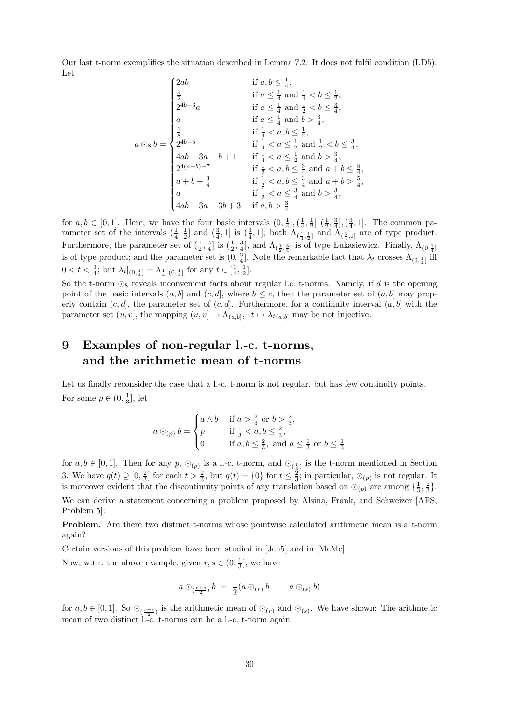Our last t-norm exemplifies the situation described in Lemma 7.2. It does not fulfil condition (LD5). Let

$$
a \odot_8 b = \begin{cases} 2ab & \text{if } a, b \leq \frac{1}{4}, \\ \frac{a}{2} & \text{if } a \leq \frac{1}{4} \text{ and } \frac{1}{4} < b \leq \frac{1}{2}, \\ 2^{4b-3}a & \text{if } a \leq \frac{1}{4} \text{ and } \frac{1}{2} < b \leq \frac{3}{4}, \\ a & \text{if } a \leq \frac{1}{4} \text{ and } b > \frac{3}{4}, \\ \frac{1}{8} & \text{if } \frac{1}{4} < a, b \leq \frac{1}{2}, \\ 2^{4b-5} & \text{if } \frac{1}{4} < a \leq \frac{1}{2} \text{ and } \frac{1}{2} < b \leq \frac{3}{4}, \\ 4ab - 3a - b + 1 & \text{if } \frac{1}{4} < a \leq \frac{1}{2} \text{ and } b > \frac{3}{4}, \\ 2^{4(a+b)-7} & \text{if } \frac{1}{2} < a, b \leq \frac{3}{4} \text{ and } a + b \leq \frac{5}{4}, \\ a + b - \frac{3}{4} & \text{if } \frac{1}{2} < a, b \leq \frac{3}{4} \text{ and } a + b > \frac{5}{4}, \\ a & \text{if } \frac{1}{2} < a \leq \frac{3}{4} \text{ and } b > \frac{3}{4}, \\ 4ab - 3a - 3b + 3 & \text{if } a, b > \frac{3}{4} \end{cases}
$$

for  $a, b \in [0, 1]$ . Here, we have the four basic intervals  $(0, \frac{1}{4}], (\frac{1}{4}, \frac{1}{2}], (\frac{1}{2}, \frac{3}{4}], (\frac{3}{4}, 1]$ . The common parameter set of the intervals  $(\frac{1}{4}, \frac{1}{2}]$  and  $(\frac{3}{4}, 1]$  is  $(\frac{3}{4}, 1]$ ; both  $\Lambda_{(\frac{1}{4}, \frac{1}{2}]}$  and  $\Lambda_{(\frac{3}{4}, 1]}$  are of type product. Furthermore, the parameter set of  $(\frac{1}{2}, \frac{3}{4}]$  is  $(\frac{1}{2}, \frac{3}{4}]$ , and  $\Lambda_{(\frac{1}{2}, \frac{3}{4}]}$  is of type Lukasiewicz. Finally,  $\Lambda_{(0, \frac{1}{4}]}$ is of type product; and the parameter set is  $(0, \frac{3}{4}]$ . Note the remarkable fact that  $\lambda_t$  crosses  $\Lambda_{(0, \frac{1}{4}]}$  iff  $0 < t < \frac{3}{4}$ ; but  $\lambda_t|_{(0, \frac{1}{4}]} = \lambda_{\frac{1}{4}}|_{(0, \frac{1}{4}]}$  for any  $t \in [\frac{1}{4}, \frac{1}{2}].$ 

So the t-norm  $\odot_8$  reveals inconvenient facts about regular l.c. t-norms. Namely, if d is the opening point of the basic intervals  $(a, b]$  and  $(c, d]$ , where  $b \leq c$ , then the parameter set of  $(a, b]$  may properly contain  $(c, d]$ , the parameter set of  $(c, d]$ . Furthermore, for a continuity interval  $(a, b]$  with the parameter set  $(u, v]$ , the mapping  $(u, v] \to \Lambda_{(a, b]}, t \mapsto \lambda_{t(a, b]}$  may be not injective.

# 9 Examples of non-regular l.-c. t-norms, and the arithmetic mean of t-norms

Let us finally reconsider the case that a l.-c. t-norm is not regular, but has few continuity points. For some  $p \in (0, \frac{1}{3}],$  let

$$
a \odot_{(p)} b = \begin{cases} a \wedge b & \text{if } a > \frac{2}{3} \text{ or } b > \frac{2}{3}, \\ p & \text{if } \frac{1}{3} < a, b \le \frac{2}{3}, \\ 0 & \text{if } a, b \le \frac{2}{3}, \text{ and } a \le \frac{1}{3} \text{ or } b \le \frac{1}{3} \end{cases}
$$

for  $a, b \in [0, 1]$ . Then for any  $p$ ,  $\odot_{(p)}$  is a l.-c. t-norm, and  $\odot_{(\frac{1}{3})}$  is the t-norm mentioned in Section 3. We have  $q(t) \supseteq [0, \frac{2}{3}]$  for each  $t > \frac{2}{3}$ , but  $q(t) = \{0\}$  for  $t \leq \frac{2}{3}$ ; in particular,  $\odot_{(p)}$  is not regular. It is moreover evident that the discontinuity points of any translation based on  $\mathcal{O}(p)$  are among  $\{\frac{1}{3}, \frac{2}{3}\}.$ 

We can derive a statement concerning a problem proposed by Alsina, Frank, and Schweizer [AFS, Problem 5]:

Problem. Are there two distinct t-norms whose pointwise calculated arithmetic mean is a t-norm again?

Certain versions of this problem have been studied in [Jen5] and in [MeMe].

Now, w.t.r. the above example, given  $r, s \in (0, \frac{1}{3}]$ , we have

$$
a \odot_{(\frac{r+s}{2})} b = \frac{1}{2}(a \odot_{(r)} b + a \odot_{(s)} b)
$$

for  $a, b \in [0,1]$ . So  $\circlearrowleft_{(\frac{r+s}{2})}$  is the arithmetic mean of  $\circlearrowleft_{(r)}$  and  $\circlearrowright_{(s)}$ . We have shown: The arithmetic mean of two distinct l.-c. t-norms can be a l.-c. t-norm again.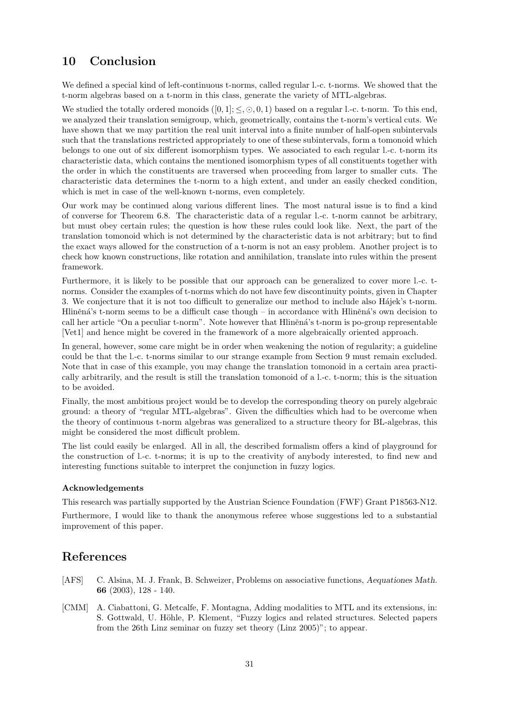## 10 Conclusion

We defined a special kind of left-continuous t-norms, called regular l.-c. t-norms. We showed that the t-norm algebras based on a t-norm in this class, generate the variety of MTL-algebras.

We studied the totally ordered monoids  $([0,1]; \leq, \odot, 0, 1)$  based on a regular l.-c. t-norm. To this end, we analyzed their translation semigroup, which, geometrically, contains the t-norm's vertical cuts. We have shown that we may partition the real unit interval into a finite number of half-open subintervals such that the translations restricted appropriately to one of these subintervals, form a tomonoid which belongs to one out of six different isomorphism types. We associated to each regular l.-c. t-norm its characteristic data, which contains the mentioned isomorphism types of all constituents together with the order in which the constituents are traversed when proceeding from larger to smaller cuts. The characteristic data determines the t-norm to a high extent, and under an easily checked condition, which is met in case of the well-known t-norms, even completely.

Our work may be continued along various different lines. The most natural issue is to find a kind of converse for Theorem 6.8. The characteristic data of a regular l.-c. t-norm cannot be arbitrary, but must obey certain rules; the question is how these rules could look like. Next, the part of the translation tomonoid which is not determined by the characteristic data is not arbitrary; but to find the exact ways allowed for the construction of a t-norm is not an easy problem. Another project is to check how known constructions, like rotation and annihilation, translate into rules within the present framework.

Furthermore, it is likely to be possible that our approach can be generalized to cover more l.-c. tnorms. Consider the examples of t-norms which do not have few discontinuity points, given in Chapter 3. We conjecture that it is not too difficult to generalize our method to include also Hájek's t-norm. Hliněná's t-norm seems to be a difficult case though – in accordance with Hliněná's own decision to call her article "On a peculiar t-norm". Note however that Hlinena's t-norm is po-group representable [Vet1] and hence might be covered in the framework of a more algebraically oriented approach.

In general, however, some care might be in order when weakening the notion of regularity; a guideline could be that the l.-c. t-norms similar to our strange example from Section 9 must remain excluded. Note that in case of this example, you may change the translation tomonoid in a certain area practically arbitrarily, and the result is still the translation tomonoid of a l.-c. t-norm; this is the situation to be avoided.

Finally, the most ambitious project would be to develop the corresponding theory on purely algebraic ground: a theory of "regular MTL-algebras". Given the difficulties which had to be overcome when the theory of continuous t-norm algebras was generalized to a structure theory for BL-algebras, this might be considered the most difficult problem.

The list could easily be enlarged. All in all, the described formalism offers a kind of playground for the construction of l.-c. t-norms; it is up to the creativity of anybody interested, to find new and interesting functions suitable to interpret the conjunction in fuzzy logics.

#### Acknowledgements

This research was partially supported by the Austrian Science Foundation (FWF) Grant P18563-N12.

Furthermore, I would like to thank the anonymous referee whose suggestions led to a substantial improvement of this paper.

### References

- [AFS] C. Alsina, M. J. Frank, B. Schweizer, Problems on associative functions, Aequationes Math. 66 (2003), 128 - 140.
- [CMM] A. Ciabattoni, G. Metcalfe, F. Montagna, Adding modalities to MTL and its extensions, in: S. Gottwald, U. Höhle, P. Klement, "Fuzzy logics and related structures. Selected papers from the 26th Linz seminar on fuzzy set theory (Linz 2005)"; to appear.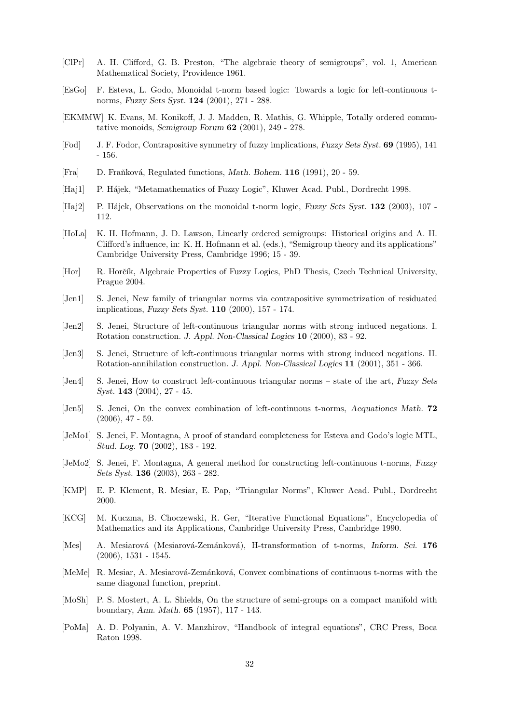- [ClPr] A. H. Clifford, G. B. Preston, "The algebraic theory of semigroups", vol. 1, American Mathematical Society, Providence 1961.
- [EsGo] F. Esteva, L. Godo, Monoidal t-norm based logic: Towards a logic for left-continuous tnorms, Fuzzy Sets Syst. 124 (2001), 271 - 288.
- [EKMMW] K. Evans, M. Konikoff, J. J. Madden, R. Mathis, G. Whipple, Totally ordered commutative monoids, Semigroup Forum 62 (2001), 249 - 278.
- [Fod] J. F. Fodor, Contrapositive symmetry of fuzzy implications, Fuzzy Sets Syst. 69 (1995), 141 - 156.
- [Fra] D. Fraňková, Regulated functions, *Math. Bohem.* **116** (1991), 20 59.
- [Haj1] P. Hájek, "Metamathematics of Fuzzy Logic", Kluwer Acad. Publ., Dordrecht 1998.
- [Haj2] P. Hájek, Observations on the monoidal t-norm logic, Fuzzy Sets Syst. 132 (2003), 107 -112.
- [HoLa] K. H. Hofmann, J. D. Lawson, Linearly ordered semigroups: Historical origins and A. H. Clifford's influence, in: K. H. Hofmann et al. (eds.), "Semigroup theory and its applications" Cambridge University Press, Cambridge 1996; 15 - 39.
- [Hor] R. Horčík, Algebraic Properties of Fuzzy Logics, PhD Thesis, Czech Technical University, Prague 2004.
- [Jen1] S. Jenei, New family of triangular norms via contrapositive symmetrization of residuated implications, Fuzzy Sets Syst. 110 (2000), 157 - 174.
- [Jen2] S. Jenei, Structure of left-continuous triangular norms with strong induced negations. I. Rotation construction. J. Appl. Non-Classical Logics 10 (2000), 83 - 92.
- [Jen3] S. Jenei, Structure of left-continuous triangular norms with strong induced negations. II. Rotation-annihilation construction. J. Appl. Non-Classical Logics 11 (2001), 351 - 366.
- [Jen4] S. Jenei, How to construct left-continuous triangular norms state of the art, Fuzzy Sets Syst. 143 (2004), 27 - 45.
- [Jen5] S. Jenei, On the convex combination of left-continuous t-norms, Aequationes Math. 72  $(2006), 47 - 59.$
- [JeMo1] S. Jenei, F. Montagna, A proof of standard completeness for Esteva and Godo's logic MTL, Stud. Log. 70 (2002), 183 - 192.
- [JeMo2] S. Jenei, F. Montagna, A general method for constructing left-continuous t-norms, Fuzzy Sets Syst. 136 (2003), 263 - 282.
- [KMP] E. P. Klement, R. Mesiar, E. Pap, "Triangular Norms", Kluwer Acad. Publ., Dordrecht 2000.
- [KCG] M. Kuczma, B. Choczewski, R. Ger, "Iterative Functional Equations", Encyclopedia of Mathematics and its Applications, Cambridge University Press, Cambridge 1990.
- [Mes] A. Mesiarová (Mesiarová-Zemánková), H-transformation of t-norms, Inform. Sci. 176 (2006), 1531 - 1545.
- [MeMe] R. Mesiar, A. Mesiarová-Zemánková, Convex combinations of continuous t-norms with the same diagonal function, preprint.
- [MoSh] P. S. Mostert, A. L. Shields, On the structure of semi-groups on a compact manifold with boundary, Ann. Math. 65 (1957), 117 - 143.
- [PoMa] A. D. Polyanin, A. V. Manzhirov, "Handbook of integral equations", CRC Press, Boca Raton 1998.